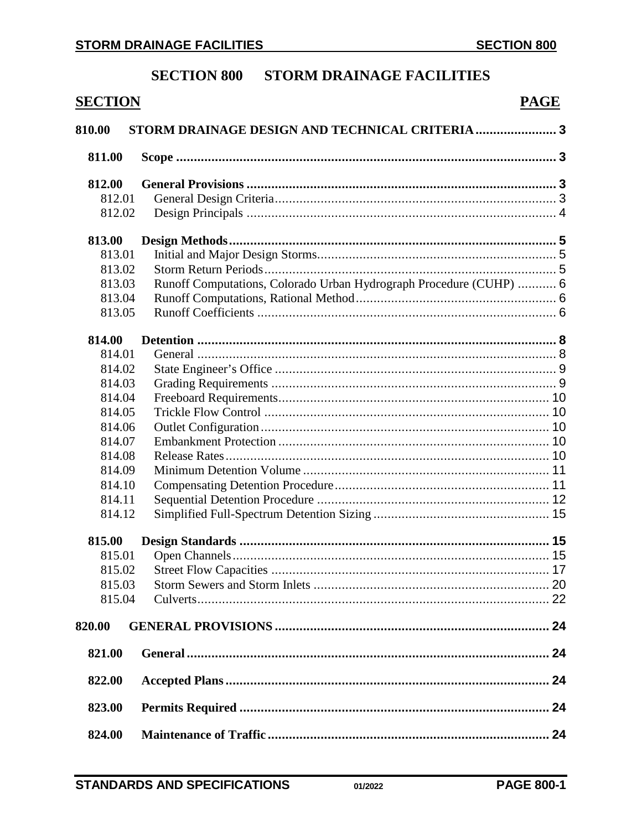# **SECTION 800 STORM DRAINAGE FACILITIES**

| <b>SECTION</b> |                                                                    | <b>PAGE</b> |
|----------------|--------------------------------------------------------------------|-------------|
| 810.00         | STORM DRAINAGE DESIGN AND TECHNICAL CRITERIA  3                    |             |
| 811.00         |                                                                    |             |
| 812.00         |                                                                    |             |
| 812.01         |                                                                    |             |
| 812.02         |                                                                    |             |
| 813.00         |                                                                    |             |
| 813.01         |                                                                    |             |
| 813.02         |                                                                    |             |
| 813.03         | Runoff Computations, Colorado Urban Hydrograph Procedure (CUHP)  6 |             |
| 813.04         |                                                                    |             |
| 813.05         |                                                                    |             |
| 814.00         |                                                                    |             |
| 814.01         |                                                                    |             |
| 814.02         |                                                                    |             |
| 814.03         |                                                                    |             |
| 814.04         |                                                                    |             |
| 814.05         |                                                                    |             |
| 814.06         |                                                                    |             |
| 814.07         |                                                                    |             |
| 814.08         |                                                                    |             |
| 814.09         |                                                                    |             |
| 814.10         |                                                                    |             |
| 814.11         |                                                                    |             |
| 814.12         |                                                                    |             |
| 815.00         |                                                                    |             |
| 815.01         |                                                                    |             |
| 815.02         |                                                                    |             |
| 815.03         |                                                                    |             |
| 815.04         |                                                                    |             |
| 820.00         |                                                                    |             |
| 821.00         |                                                                    |             |
| 822.00         |                                                                    |             |
| 823.00         |                                                                    |             |
| 824.00         |                                                                    |             |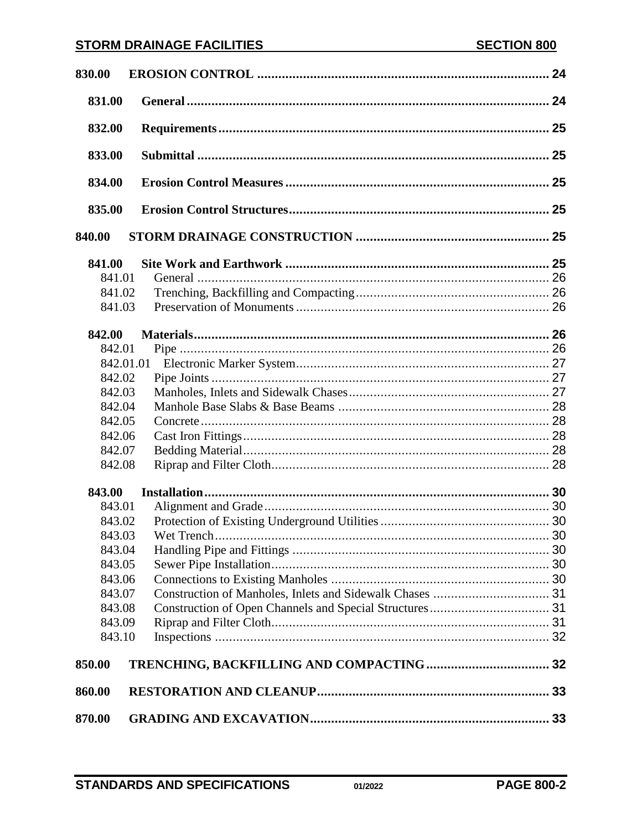| 830.00    |  |
|-----------|--|
| 831.00    |  |
| 832.00    |  |
| 833.00    |  |
| 834.00    |  |
| 835.00    |  |
| 840.00    |  |
| 841.00    |  |
| 841.01    |  |
| 841.02    |  |
| 841.03    |  |
| 842.00    |  |
| 842.01    |  |
| 842.01.01 |  |
| 842.02    |  |
| 842.03    |  |
| 842.04    |  |
| 842.05    |  |
| 842.06    |  |
| 842.07    |  |
| 842.08    |  |
| 843.00    |  |
| 843.01    |  |
| 843.02    |  |
| 843.03    |  |
| 843.04    |  |
| 843.05    |  |
| 843.06    |  |
| 843.07    |  |
| 843.08    |  |
| 843.09    |  |
| 843.10    |  |
| 850.00    |  |
| 860.00    |  |
| 870.00    |  |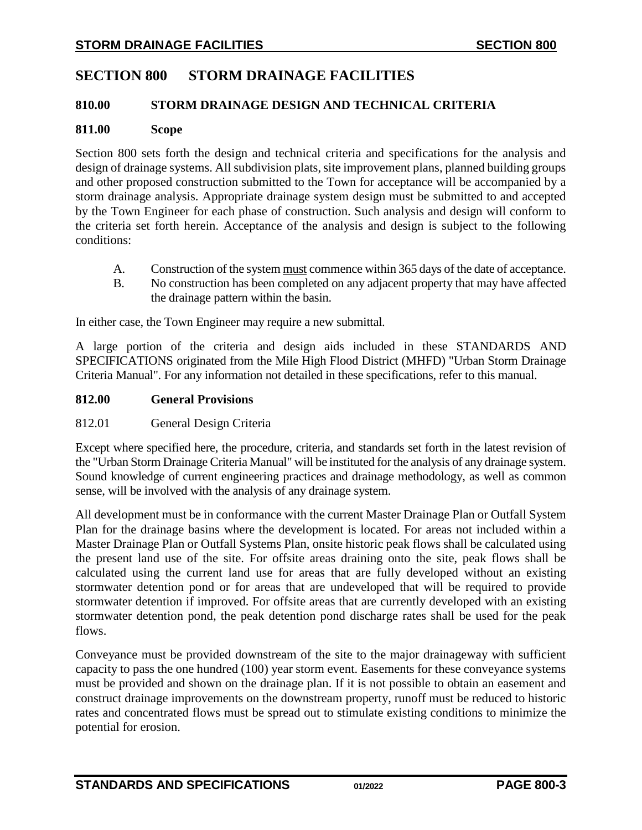# **SECTION 800 STORM DRAINAGE FACILITIES**

### <span id="page-2-0"></span>**810.00 STORM DRAINAGE DESIGN AND TECHNICAL CRITERIA**

#### <span id="page-2-1"></span>**811.00 Scope**

Section 800 sets forth the design and technical criteria and specifications for the analysis and design of drainage systems. All subdivision plats, site improvement plans, planned building groups and other proposed construction submitted to the Town for acceptance will be accompanied by a storm drainage analysis. Appropriate drainage system design must be submitted to and accepted by the Town Engineer for each phase of construction. Such analysis and design will conform to the criteria set forth herein. Acceptance of the analysis and design is subject to the following conditions:

- A. Construction of the system must commence within 365 days of the date of acceptance.
- B. No construction has been completed on any adjacent property that may have affected the drainage pattern within the basin.

In either case, the Town Engineer may require a new submittal.

A large portion of the criteria and design aids included in these STANDARDS AND SPECIFICATIONS originated from the Mile High Flood District (MHFD) "Urban Storm Drainage Criteria Manual". For any information not detailed in these specifications, refer to this manual.

#### <span id="page-2-2"></span>**812.00 General Provisions**

### <span id="page-2-3"></span>812.01 General Design Criteria

Except where specified here, the procedure, criteria, and standards set forth in the latest revision of the "Urban Storm Drainage Criteria Manual" will be instituted for the analysis of any drainage system. Sound knowledge of current engineering practices and drainage methodology, as well as common sense, will be involved with the analysis of any drainage system.

All development must be in conformance with the current Master Drainage Plan or Outfall System Plan for the drainage basins where the development is located. For areas not included within a Master Drainage Plan or Outfall Systems Plan, onsite historic peak flows shall be calculated using the present land use of the site. For offsite areas draining onto the site, peak flows shall be calculated using the current land use for areas that are fully developed without an existing stormwater detention pond or for areas that are undeveloped that will be required to provide stormwater detention if improved. For offsite areas that are currently developed with an existing stormwater detention pond, the peak detention pond discharge rates shall be used for the peak flows.

Conveyance must be provided downstream of the site to the major drainageway with sufficient capacity to pass the one hundred (100) year storm event. Easements for these conveyance systems must be provided and shown on the drainage plan. If it is not possible to obtain an easement and construct drainage improvements on the downstream property, runoff must be reduced to historic rates and concentrated flows must be spread out to stimulate existing conditions to minimize the potential for erosion.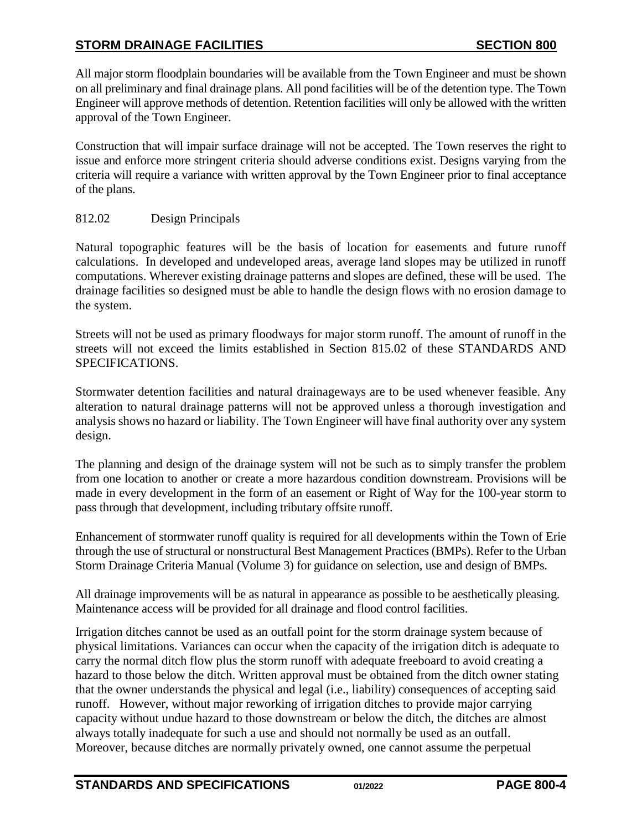All major storm floodplain boundaries will be available from the Town Engineer and must be shown on all preliminary and final drainage plans. All pond facilities will be of the detention type. The Town Engineer will approve methods of detention. Retention facilities will only be allowed with the written approval of the Town Engineer.

Construction that will impair surface drainage will not be accepted. The Town reserves the right to issue and enforce more stringent criteria should adverse conditions exist. Designs varying from the criteria will require a variance with written approval by the Town Engineer prior to final acceptance of the plans.

## <span id="page-3-0"></span>812.02 Design Principals

Natural topographic features will be the basis of location for easements and future runoff calculations. In developed and undeveloped areas, average land slopes may be utilized in runoff computations. Wherever existing drainage patterns and slopes are defined, these will be used. The drainage facilities so designed must be able to handle the design flows with no erosion damage to the system.

Streets will not be used as primary floodways for major storm runoff. The amount of runoff in the streets will not exceed the limits established in Section 815.02 of these STANDARDS AND SPECIFICATIONS.

Stormwater detention facilities and natural drainageways are to be used whenever feasible. Any alteration to natural drainage patterns will not be approved unless a thorough investigation and analysis shows no hazard or liability. The Town Engineer will have final authority over any system design.

The planning and design of the drainage system will not be such as to simply transfer the problem from one location to another or create a more hazardous condition downstream. Provisions will be made in every development in the form of an easement or Right of Way for the 100-year storm to pass through that development, including tributary offsite runoff.

Enhancement of stormwater runoff quality is required for all developments within the Town of Erie through the use of structural or nonstructural Best Management Practices (BMPs). Refer to the Urban Storm Drainage Criteria Manual (Volume 3) for guidance on selection, use and design of BMPs.

All drainage improvements will be as natural in appearance as possible to be aesthetically pleasing. Maintenance access will be provided for all drainage and flood control facilities.

Irrigation ditches cannot be used as an outfall point for the storm drainage system because of physical limitations. Variances can occur when the capacity of the irrigation ditch is adequate to carry the normal ditch flow plus the storm runoff with adequate freeboard to avoid creating a hazard to those below the ditch. Written approval must be obtained from the ditch owner stating that the owner understands the physical and legal (i.e., liability) consequences of accepting said runoff. However, without major reworking of irrigation ditches to provide major carrying capacity without undue hazard to those downstream or below the ditch, the ditches are almost always totally inadequate for such a use and should not normally be used as an outfall. Moreover, because ditches are normally privately owned, one cannot assume the perpetual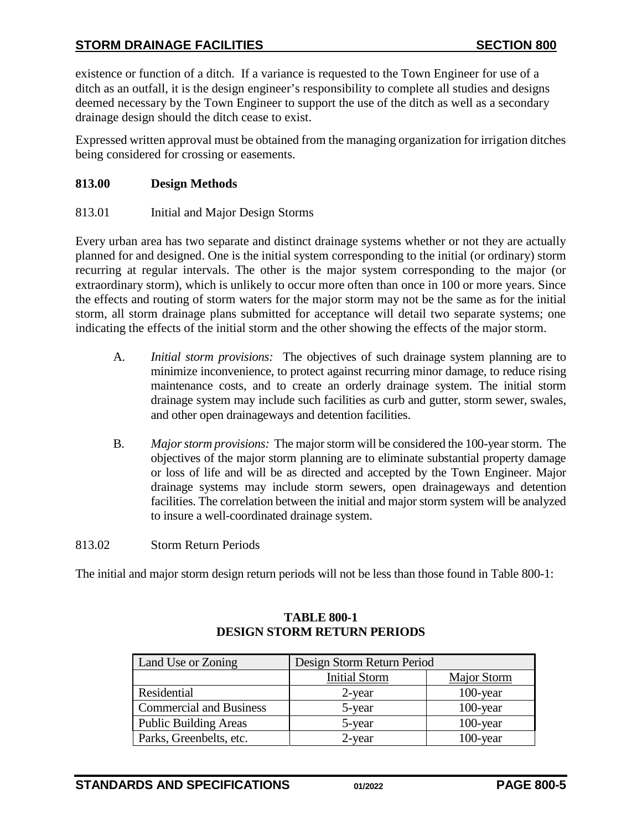existence or function of a ditch. If a variance is requested to the Town Engineer for use of a ditch as an outfall, it is the design engineer's responsibility to complete all studies and designs deemed necessary by the Town Engineer to support the use of the ditch as well as a secondary drainage design should the ditch cease to exist.

Expressed written approval must be obtained from the managing organization for irrigation ditches being considered for crossing or easements.

### <span id="page-4-0"></span>**813.00 Design Methods**

<span id="page-4-1"></span>813.01 Initial and Major Design Storms

Every urban area has two separate and distinct drainage systems whether or not they are actually planned for and designed. One is the initial system corresponding to the initial (or ordinary) storm recurring at regular intervals. The other is the major system corresponding to the major (or extraordinary storm), which is unlikely to occur more often than once in 100 or more years. Since the effects and routing of storm waters for the major storm may not be the same as for the initial storm, all storm drainage plans submitted for acceptance will detail two separate systems; one indicating the effects of the initial storm and the other showing the effects of the major storm.

- A. *Initial storm provisions:* The objectives of such drainage system planning are to minimize inconvenience, to protect against recurring minor damage, to reduce rising maintenance costs, and to create an orderly drainage system. The initial storm drainage system may include such facilities as curb and gutter, storm sewer, swales, and other open drainageways and detention facilities.
- B. *Major storm provisions:* The major storm will be considered the 100-year storm. The objectives of the major storm planning are to eliminate substantial property damage or loss of life and will be as directed and accepted by the Town Engineer. Major drainage systems may include storm sewers, open drainageways and detention facilities. The correlation between the initial and major storm system will be analyzed to insure a well-coordinated drainage system.
- <span id="page-4-2"></span>813.02 Storm Return Periods

The initial and major storm design return periods will not be less than those found in Table 800-1:

| Land Use or Zoning             | Design Storm Return Period |             |  |  |  |
|--------------------------------|----------------------------|-------------|--|--|--|
|                                | <b>Initial Storm</b>       | Major Storm |  |  |  |
| Residential                    | $2$ -year                  | $100$ -year |  |  |  |
| <b>Commercial and Business</b> | 5-year                     | $100$ -year |  |  |  |
| <b>Public Building Areas</b>   | 5-year                     | $100$ -year |  |  |  |
| Parks, Greenbelts, etc.        | $2$ -year                  | $100$ -year |  |  |  |

### **TABLE 800-1 DESIGN STORM RETURN PERIODS**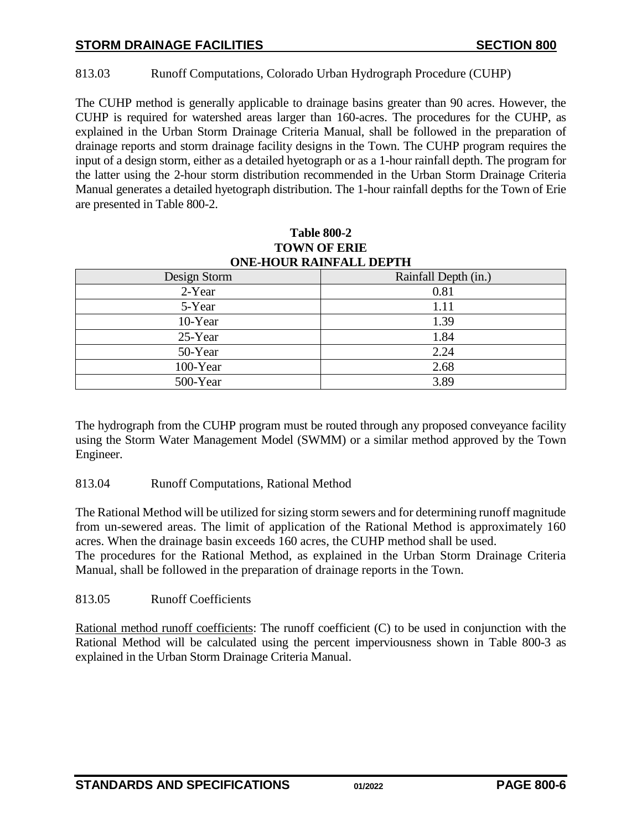## <span id="page-5-0"></span>813.03 Runoff Computations, Colorado Urban Hydrograph Procedure (CUHP)

The CUHP method is generally applicable to drainage basins greater than 90 acres. However, the CUHP is required for watershed areas larger than 160-acres. The procedures for the CUHP, as explained in the Urban Storm Drainage Criteria Manual, shall be followed in the preparation of drainage reports and storm drainage facility designs in the Town. The CUHP program requires the input of a design storm, either as a detailed hyetograph or as a 1-hour rainfall depth. The program for the latter using the 2-hour storm distribution recommended in the Urban Storm Drainage Criteria Manual generates a detailed hyetograph distribution. The 1-hour rainfall depths for the Town of Erie are presented in Table 800-2.

| UNE-HUUK KAINFALL DEPTH |                      |  |  |  |  |  |  |
|-------------------------|----------------------|--|--|--|--|--|--|
| Design Storm            | Rainfall Depth (in.) |  |  |  |  |  |  |
| 2-Year                  | 0.81                 |  |  |  |  |  |  |
| 5-Year                  | 1.11                 |  |  |  |  |  |  |
| 10-Year                 | 1.39                 |  |  |  |  |  |  |
| 25-Year                 | 1.84                 |  |  |  |  |  |  |
| 50-Year                 | 2.24                 |  |  |  |  |  |  |
| 100-Year                | 2.68                 |  |  |  |  |  |  |
| 500-Year                | 3.89                 |  |  |  |  |  |  |

### **Table 800-2 TOWN OF ERIE ONE-HOUR RAINFALL DEPTH**

The hydrograph from the CUHP program must be routed through any proposed conveyance facility using the Storm Water Management Model (SWMM) or a similar method approved by the Town Engineer.

### <span id="page-5-1"></span>813.04 Runoff Computations, Rational Method

The Rational Method will be utilized for sizing storm sewers and for determining runoff magnitude from un-sewered areas. The limit of application of the Rational Method is approximately 160 acres. When the drainage basin exceeds 160 acres, the CUHP method shall be used. The procedures for the Rational Method, as explained in the Urban Storm Drainage Criteria Manual, shall be followed in the preparation of drainage reports in the Town.

### <span id="page-5-2"></span>813.05 Runoff Coefficients

Rational method runoff coefficients: The runoff coefficient (C) to be used in conjunction with the Rational Method will be calculated using the percent imperviousness shown in Table 800-3 as explained in the Urban Storm Drainage Criteria Manual.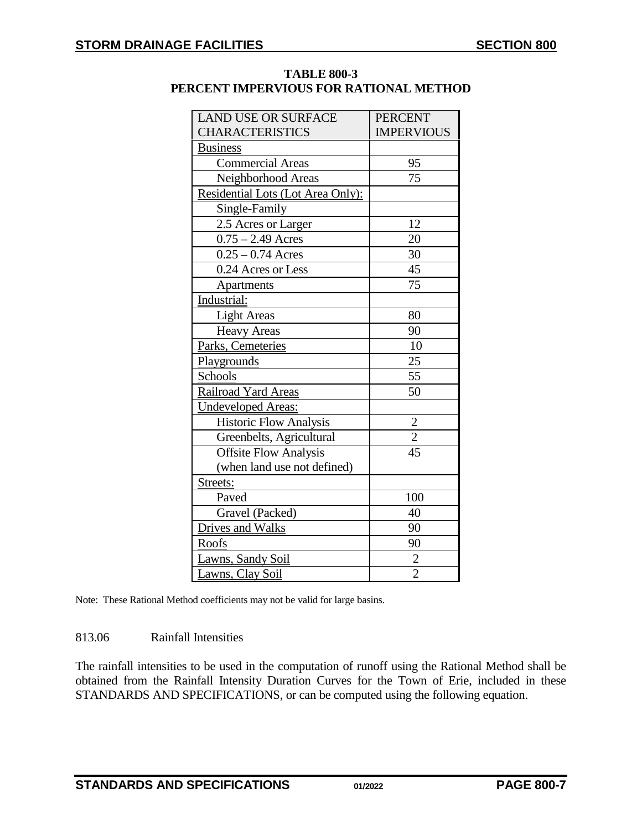| <b>LAND USE OR SURFACE</b>        | <b>PERCENT</b>    |
|-----------------------------------|-------------------|
| <b>CHARACTERISTICS</b>            | <b>IMPERVIOUS</b> |
| <b>Business</b>                   |                   |
| Commercial Areas                  | 95                |
| Neighborhood Areas                | 75                |
| Residential Lots (Lot Area Only): |                   |
| Single-Family                     |                   |
| 2.5 Acres or Larger               | 12                |
| $\overline{0.75} - 2.49$ Acres    | 20                |
| $0.25 - 0.74$ Acres               | 30                |
| 0.24 Acres or Less                | 45                |
| Apartments                        | 75                |
| Industrial:                       |                   |
| <b>Light Areas</b>                | 80                |
| <b>Heavy Areas</b>                | 90                |
| Parks, Cemeteries                 | 10                |
| Playgrounds                       | 25                |
| Schools                           | 55                |
| Railroad Yard Areas               | 50                |
| <b>Undeveloped Areas:</b>         |                   |
| <b>Historic Flow Analysis</b>     |                   |
| Greenbelts, Agricultural          | $\frac{2}{2}$     |
| <b>Offsite Flow Analysis</b>      |                   |
| (when land use not defined)       |                   |
| Streets:                          |                   |
| Paved                             | 100               |
| Gravel (Packed)                   | 40                |
| Drives and Walks                  | 90                |
| <b>Roofs</b>                      | 90                |
| Lawns, Sandy Soil                 | $\overline{c}$    |
| Lawns, Clay Soil                  | $\overline{2}$    |

## **TABLE 800-3 PERCENT IMPERVIOUS FOR RATIONAL METHOD**

Note: These Rational Method coefficients may not be valid for large basins.

### 813.06 Rainfall Intensities

The rainfall intensities to be used in the computation of runoff using the Rational Method shall be obtained from the Rainfall Intensity Duration Curves for the Town of Erie, included in these STANDARDS AND SPECIFICATIONS, or can be computed using the following equation.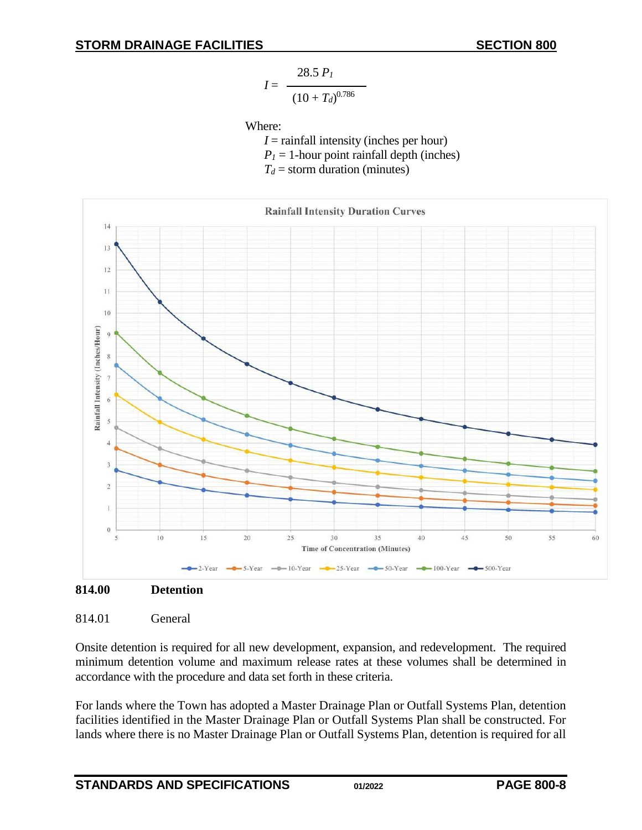$$
I = \frac{28.5 \ P_I}{\left(10 + T_d\right)^{0.786}}
$$

Where:

*I* = rainfall intensity (inches per hour)  $P_1 = 1$ -hour point rainfall depth (inches)

 $T_d$  = storm duration (minutes)



<span id="page-7-0"></span>

## <span id="page-7-1"></span>814.01 General

Onsite detention is required for all new development, expansion, and redevelopment. The required minimum detention volume and maximum release rates at these volumes shall be determined in accordance with the procedure and data set forth in these criteria.

For lands where the Town has adopted a Master Drainage Plan or Outfall Systems Plan, detention facilities identified in the Master Drainage Plan or Outfall Systems Plan shall be constructed. For lands where there is no Master Drainage Plan or Outfall Systems Plan, detention is required for all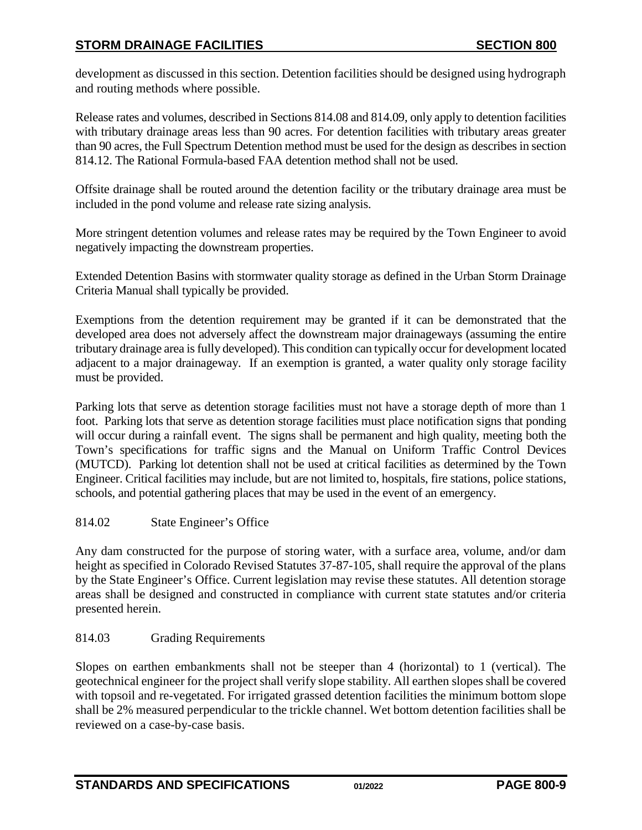development as discussed in this section. Detention facilities should be designed using hydrograph and routing methods where possible.

Release rates and volumes, described in Sections 814.08 and 814.09, only apply to detention facilities with tributary drainage areas less than 90 acres. For detention facilities with tributary areas greater than 90 acres, the Full Spectrum Detention method must be used for the design as describes in section 814.12. The Rational Formula-based FAA detention method shall not be used.

Offsite drainage shall be routed around the detention facility or the tributary drainage area must be included in the pond volume and release rate sizing analysis.

More stringent detention volumes and release rates may be required by the Town Engineer to avoid negatively impacting the downstream properties.

Extended Detention Basins with stormwater quality storage as defined in the Urban Storm Drainage Criteria Manual shall typically be provided.

Exemptions from the detention requirement may be granted if it can be demonstrated that the developed area does not adversely affect the downstream major drainageways (assuming the entire tributary drainage area is fully developed). This condition can typically occur for development located adjacent to a major drainageway. If an exemption is granted, a water quality only storage facility must be provided.

Parking lots that serve as detention storage facilities must not have a storage depth of more than 1 foot. Parking lots that serve as detention storage facilities must place notification signs that ponding will occur during a rainfall event. The signs shall be permanent and high quality, meeting both the Town's specifications for traffic signs and the Manual on Uniform Traffic Control Devices (MUTCD). Parking lot detention shall not be used at critical facilities as determined by the Town Engineer. Critical facilities may include, but are not limited to, hospitals, fire stations, police stations, schools, and potential gathering places that may be used in the event of an emergency.

## <span id="page-8-0"></span>814.02 State Engineer's Office

Any dam constructed for the purpose of storing water, with a surface area, volume, and/or dam height as specified in Colorado Revised Statutes 37-87-105, shall require the approval of the plans by the State Engineer's Office. Current legislation may revise these statutes. All detention storage areas shall be designed and constructed in compliance with current state statutes and/or criteria presented herein.

# <span id="page-8-1"></span>814.03 Grading Requirements

Slopes on earthen embankments shall not be steeper than 4 (horizontal) to 1 (vertical). The geotechnical engineer for the project shall verify slope stability. All earthen slopes shall be covered with topsoil and re-vegetated. For irrigated grassed detention facilities the minimum bottom slope shall be 2% measured perpendicular to the trickle channel. Wet bottom detention facilities shall be reviewed on a case-by-case basis.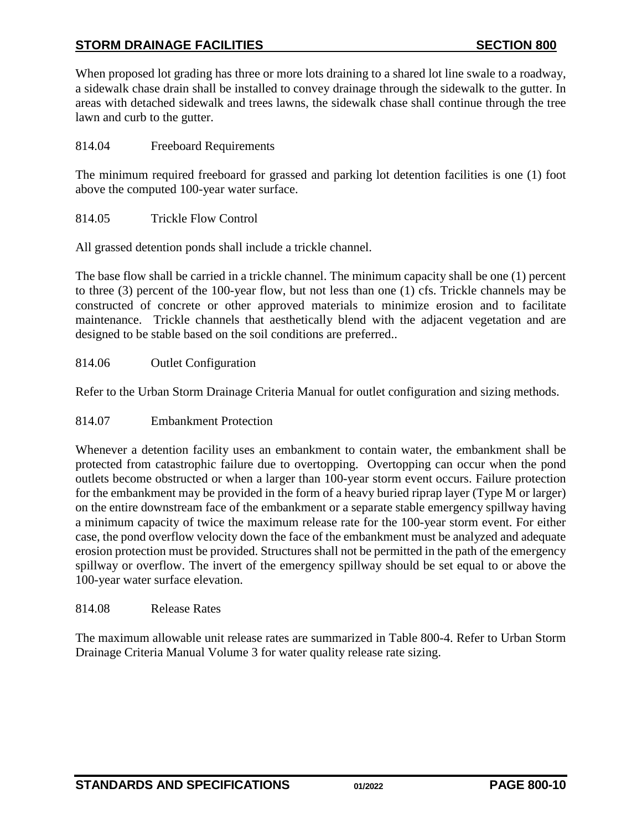When proposed lot grading has three or more lots draining to a shared lot line swale to a roadway, a sidewalk chase drain shall be installed to convey drainage through the sidewalk to the gutter. In areas with detached sidewalk and trees lawns, the sidewalk chase shall continue through the tree lawn and curb to the gutter.

<span id="page-9-0"></span>814.04 Freeboard Requirements

The minimum required freeboard for grassed and parking lot detention facilities is one (1) foot above the computed 100-year water surface.

<span id="page-9-1"></span>814.05 Trickle Flow Control

All grassed detention ponds shall include a trickle channel.

The base flow shall be carried in a trickle channel. The minimum capacity shall be one (1) percent to three (3) percent of the 100-year flow, but not less than one (1) cfs. Trickle channels may be constructed of concrete or other approved materials to minimize erosion and to facilitate maintenance. Trickle channels that aesthetically blend with the adjacent vegetation and are designed to be stable based on the soil conditions are preferred..

### <span id="page-9-2"></span>814.06 Outlet Configuration

Refer to the Urban Storm Drainage Criteria Manual for outlet configuration and sizing methods.

### <span id="page-9-3"></span>814.07 Embankment Protection

Whenever a detention facility uses an embankment to contain water, the embankment shall be protected from catastrophic failure due to overtopping. Overtopping can occur when the pond outlets become obstructed or when a larger than 100-year storm event occurs. Failure protection for the embankment may be provided in the form of a heavy buried riprap layer (Type M or larger) on the entire downstream face of the embankment or a separate stable emergency spillway having a minimum capacity of twice the maximum release rate for the 100-year storm event. For either case, the pond overflow velocity down the face of the embankment must be analyzed and adequate erosion protection must be provided. Structures shall not be permitted in the path of the emergency spillway or overflow. The invert of the emergency spillway should be set equal to or above the 100-year water surface elevation.

### <span id="page-9-4"></span>814.08 Release Rates

The maximum allowable unit release rates are summarized in Table 800-4. Refer to Urban Storm Drainage Criteria Manual Volume 3 for water quality release rate sizing.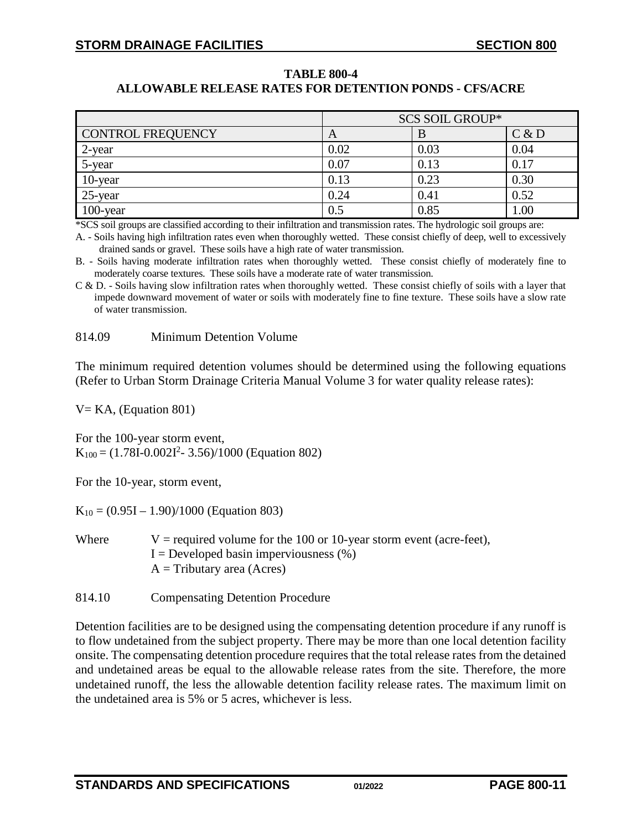### **TABLE 800-4 ALLOWABLE RELEASE RATES FOR DETENTION PONDS - CFS/ACRE**

|                          | <b>SCS SOIL GROUP*</b> |      |          |  |  |  |
|--------------------------|------------------------|------|----------|--|--|--|
| <b>CONTROL FREQUENCY</b> | A                      |      | C & D    |  |  |  |
| 2-year                   | 0.02                   | 0.03 | 0.04     |  |  |  |
| 5-year                   | 0.07                   | 0.13 | 0.17     |  |  |  |
| 10-year                  | 0.13                   | 0.23 | 0.30     |  |  |  |
| $25$ -year               | 0.24                   | 0.41 | 0.52     |  |  |  |
| $100$ -year              | 0.5                    | 0.85 | $1.00\,$ |  |  |  |

\*SCS soil groups are classified according to their infiltration and transmission rates. The hydrologic soil groups are:

A. - Soils having high infiltration rates even when thoroughly wetted. These consist chiefly of deep, well to excessively drained sands or gravel. These soils have a high rate of water transmission.

B. - Soils having moderate infiltration rates when thoroughly wetted. These consist chiefly of moderately fine to moderately coarse textures. These soils have a moderate rate of water transmission.

C & D. - Soils having slow infiltration rates when thoroughly wetted. These consist chiefly of soils with a layer that impede downward movement of water or soils with moderately fine to fine texture. These soils have a slow rate of water transmission.

### <span id="page-10-0"></span>814.09 Minimum Detention Volume

The minimum required detention volumes should be determined using the following equations (Refer to Urban Storm Drainage Criteria Manual Volume 3 for water quality release rates):

 $V= KA$ , (Equation 801)

For the 100-year storm event,  $K_{100} = (1.78I - 0.002I^2 - 3.56)/1000$  (Equation 802)

For the 10-year, storm event,

 $K_{10} = (0.95I - 1.90)/1000$  (Equation 803)

| Where | V = required volume for the 100 or 10-year storm event (acre-feet), |
|-------|---------------------------------------------------------------------|
|       | $I =$ Developed basin imperviousness $(\%)$                         |
|       | $A =$ Tributary area (Acres)                                        |

<span id="page-10-1"></span>814.10 Compensating Detention Procedure

Detention facilities are to be designed using the compensating detention procedure if any runoff is to flow undetained from the subject property. There may be more than one local detention facility onsite. The compensating detention procedure requires that the total release rates from the detained and undetained areas be equal to the allowable release rates from the site. Therefore, the more undetained runoff, the less the allowable detention facility release rates. The maximum limit on the undetained area is 5% or 5 acres, whichever is less.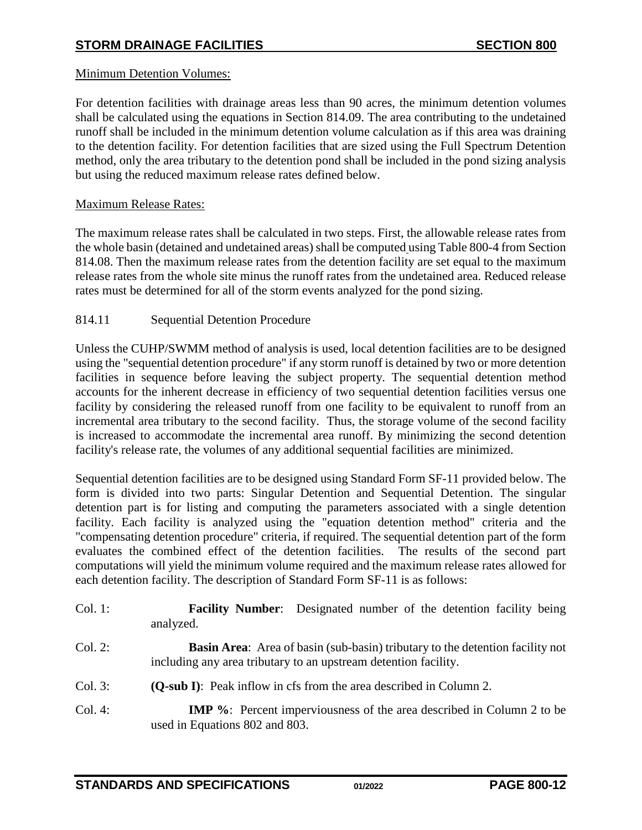## Minimum Detention Volumes:

For detention facilities with drainage areas less than 90 acres, the minimum detention volumes shall be calculated using the equations in Section 814.09. The area contributing to the undetained runoff shall be included in the minimum detention volume calculation as if this area was draining to the detention facility. For detention facilities that are sized using the Full Spectrum Detention method, only the area tributary to the detention pond shall be included in the pond sizing analysis but using the reduced maximum release rates defined below.

## Maximum Release Rates:

The maximum release rates shall be calculated in two steps. First, the allowable release rates from the whole basin (detained and undetained areas) shall be computed using Table 800-4 from Section 814.08. Then the maximum release rates from the detention facility are set equal to the maximum release rates from the whole site minus the runoff rates from the undetained area. Reduced release rates must be determined for all of the storm events analyzed for the pond sizing.

# <span id="page-11-0"></span>814.11 Sequential Detention Procedure

Unless the CUHP/SWMM method of analysis is used, local detention facilities are to be designed using the "sequential detention procedure" if any storm runoff is detained by two or more detention facilities in sequence before leaving the subject property. The sequential detention method accounts for the inherent decrease in efficiency of two sequential detention facilities versus one facility by considering the released runoff from one facility to be equivalent to runoff from an incremental area tributary to the second facility. Thus, the storage volume of the second facility is increased to accommodate the incremental area runoff. By minimizing the second detention facility's release rate, the volumes of any additional sequential facilities are minimized.

Sequential detention facilities are to be designed using Standard Form SF-11 provided below. The form is divided into two parts: Singular Detention and Sequential Detention. The singular detention part is for listing and computing the parameters associated with a single detention facility. Each facility is analyzed using the "equation detention method" criteria and the "compensating detention procedure" criteria, if required. The sequential detention part of the form evaluates the combined effect of the detention facilities. The results of the second part computations will yield the minimum volume required and the maximum release rates allowed for each detention facility. The description of Standard Form SF-11 is as follows:

| Col. 1:       | <b>Facility Number:</b> Designated number of the detention facility being<br>analyzed.                                                                  |
|---------------|---------------------------------------------------------------------------------------------------------------------------------------------------------|
| Col. 2:       | <b>Basin Area:</b> Area of basin (sub-basin) tributary to the detention facility not<br>including any area tributary to an upstream detention facility. |
| Col. 3:       | <b>(O-sub I):</b> Peak inflow in cfs from the area described in Column 2.                                                                               |
| $\sim$ $\sim$ |                                                                                                                                                         |

Col. 4: **IMP %**: Percent imperviousness of the area described in Column 2 to be used in Equations 802 and 803.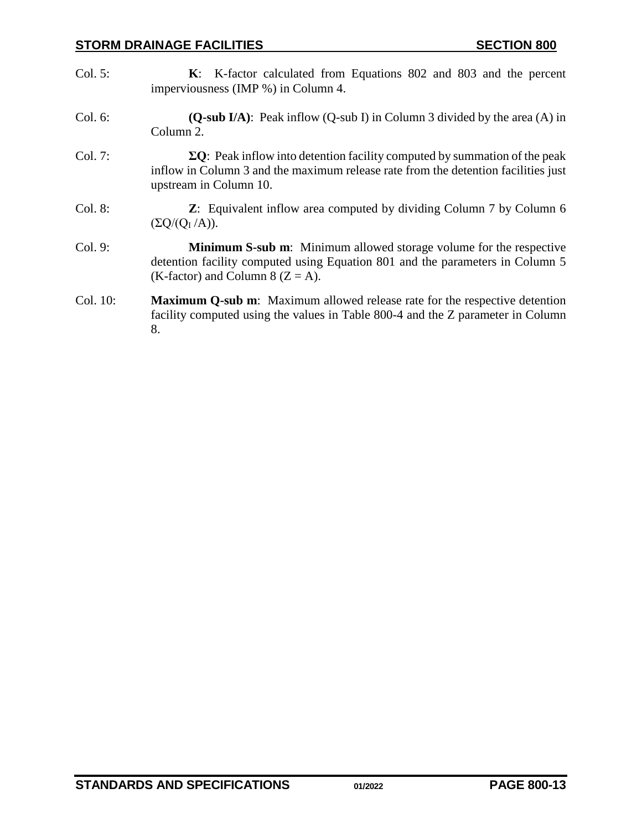- Col. 5: **K**: K-factor calculated from Equations 802 and 803 and the percent imperviousness (IMP %) in Column 4.
- Col. 6: **(Q-sub I/A)**: Peak inflow (Q-sub I) in Column 3 divided by the area (A) in Column 2.
- Col. 7: **ΣQ**: Peak inflow into detention facility computed by summation of the peak inflow in Column 3 and the maximum release rate from the detention facilities just upstream in Column 10.
- Col. 8: **Z**: Equivalent inflow area computed by dividing Column 7 by Column 6  $(\Sigma Q/(Q_I/A)).$
- Col. 9: **Minimum S-sub m**: Minimum allowed storage volume for the respective detention facility computed using Equation 801 and the parameters in Column 5 (K-factor) and Column 8 ( $Z = A$ ).
- Col. 10: **Maximum Q-sub m**: Maximum allowed release rate for the respective detention facility computed using the values in Table 800-4 and the Z parameter in Column 8.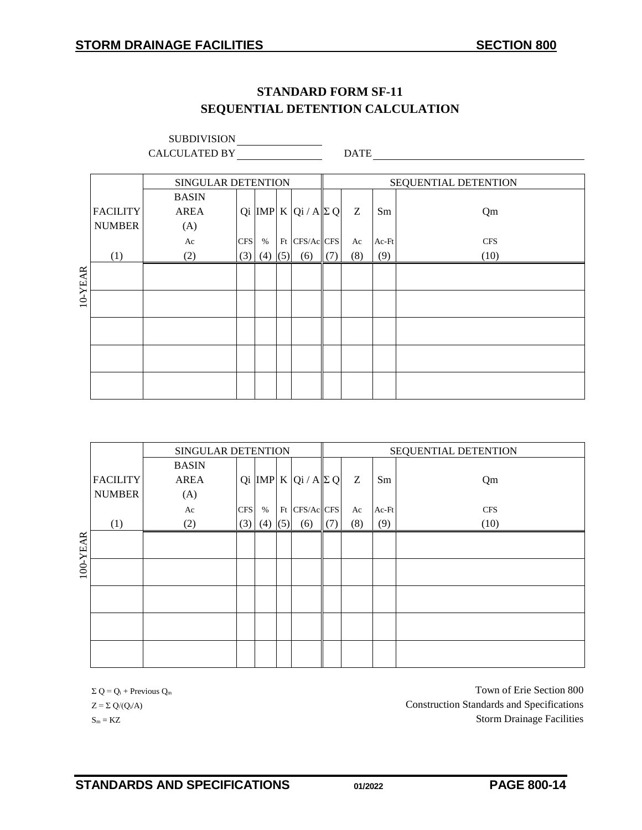# **STANDARD FORM SF-11 SEQUENTIAL DETENTION CALCULATION**

|         |                 | <b>SUBDIVISION</b>   |            |      |     |                           |     |             |       |                      |
|---------|-----------------|----------------------|------------|------|-----|---------------------------|-----|-------------|-------|----------------------|
|         |                 | <b>CALCULATED BY</b> |            |      |     |                           |     | <b>DATE</b> |       |                      |
|         |                 |                      |            |      |     |                           |     |             |       |                      |
|         |                 | SINGULAR DETENTION   |            |      |     |                           |     |             |       | SEQUENTIAL DETENTION |
|         |                 | <b>BASIN</b>         |            |      |     |                           |     |             |       |                      |
|         | <b>FACILITY</b> | <b>AREA</b>          |            |      |     | Qi MP K Qi / A $\Sigma$ Q |     | Z           | Sm    | Qm                   |
|         | <b>NUMBER</b>   | (A)                  |            |      |     |                           |     |             |       |                      |
|         |                 | Ac                   | <b>CFS</b> | $\%$ |     | Ft CFS/Ac CFS             |     | Ac          | Ac-Ft | <b>CFS</b>           |
|         | (1)             | (2)                  | (3)        | (4)  | (5) | (6)                       | (7) | (8)         | (9)   | (10)                 |
|         |                 |                      |            |      |     |                           |     |             |       |                      |
| 10-YEAR |                 |                      |            |      |     |                           |     |             |       |                      |
|         |                 |                      |            |      |     |                           |     |             |       |                      |
|         |                 |                      |            |      |     |                           |     |             |       |                      |
|         |                 |                      |            |      |     |                           |     |             |       |                      |
|         |                 |                      |            |      |     |                           |     |             |       |                      |
|         |                 |                      |            |      |     |                           |     |             |       |                      |
|         |                 |                      |            |      |     |                           |     |             |       |                      |
|         |                 |                      |            |      |     |                           |     |             |       |                      |

|          |                 | SINGULAR DETENTION |            |      |     | SEQUENTIAL DETENTION             |     |     |       |            |
|----------|-----------------|--------------------|------------|------|-----|----------------------------------|-----|-----|-------|------------|
|          |                 | <b>BASIN</b>       |            |      |     |                                  |     |     |       |            |
|          | <b>FACILITY</b> | <b>AREA</b>        |            |      |     | Qi  IMP   K   Qi / A $ \Sigma$ Q |     | Z   | Sm    | Qm         |
|          | <b>NUMBER</b>   | (A)                |            |      |     |                                  |     |     |       |            |
|          |                 | Ac                 | <b>CFS</b> | $\%$ |     | Ft CFS/Ac CFS                    |     | Ac  | Ac-Ft | <b>CFS</b> |
|          | (1)             | (2)                | (3)        | (4)  | (5) | (6)                              | (7) | (8) | (9)   | (10)       |
| 100-YEAR |                 |                    |            |      |     |                                  |     |     |       |            |
|          |                 |                    |            |      |     |                                  |     |     |       |            |
|          |                 |                    |            |      |     |                                  |     |     |       |            |
|          |                 |                    |            |      |     |                                  |     |     |       |            |
|          |                 |                    |            |      |     |                                  |     |     |       |            |
|          |                 |                    |            |      |     |                                  |     |     |       |            |
|          |                 |                    |            |      |     |                                  |     |     |       |            |

 $\Sigma Q = Q_i + \text{Previous } Q_m$  Town of Erie Section 800  $Z = \sum Q/(Q_i/A)$  Construction Standards and Specifications  $S_m = KZ$  Storm Drainage Facilities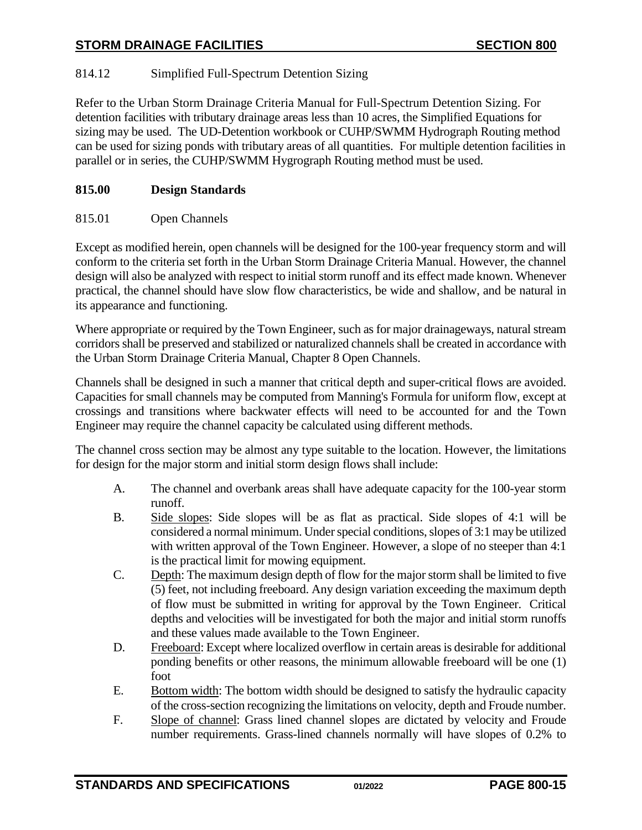# <span id="page-14-0"></span>814.12 Simplified Full-Spectrum Detention Sizing

Refer to the Urban Storm Drainage Criteria Manual for Full-Spectrum Detention Sizing. For detention facilities with tributary drainage areas less than 10 acres, the Simplified Equations for sizing may be used. The UD-Detention workbook or CUHP/SWMM Hydrograph Routing method can be used for sizing ponds with tributary areas of all quantities. For multiple detention facilities in parallel or in series, the CUHP/SWMM Hygrograph Routing method must be used.

# <span id="page-14-1"></span>**815.00 Design Standards**

# <span id="page-14-2"></span>815.01 Open Channels

Except as modified herein, open channels will be designed for the 100-year frequency storm and will conform to the criteria set forth in the Urban Storm Drainage Criteria Manual. However, the channel design will also be analyzed with respect to initial storm runoff and its effect made known. Whenever practical, the channel should have slow flow characteristics, be wide and shallow, and be natural in its appearance and functioning.

Where appropriate or required by the Town Engineer, such as for major drainageways, natural stream corridors shall be preserved and stabilized or naturalized channels shall be created in accordance with the Urban Storm Drainage Criteria Manual, Chapter 8 Open Channels.

Channels shall be designed in such a manner that critical depth and super-critical flows are avoided. Capacities for small channels may be computed from Manning's Formula for uniform flow, except at crossings and transitions where backwater effects will need to be accounted for and the Town Engineer may require the channel capacity be calculated using different methods.

The channel cross section may be almost any type suitable to the location. However, the limitations for design for the major storm and initial storm design flows shall include:

- A. The channel and overbank areas shall have adequate capacity for the 100-year storm runoff.
- B. Side slopes: Side slopes will be as flat as practical. Side slopes of 4:1 will be considered a normal minimum. Under special conditions, slopes of 3:1 may be utilized with written approval of the Town Engineer. However, a slope of no steeper than 4:1 is the practical limit for mowing equipment.
- C. Depth: The maximum design depth of flow for the major storm shall be limited to five (5) feet, not including freeboard. Any design variation exceeding the maximum depth of flow must be submitted in writing for approval by the Town Engineer. Critical depths and velocities will be investigated for both the major and initial storm runoffs and these values made available to the Town Engineer.
- D. Freeboard: Except where localized overflow in certain areas is desirable for additional ponding benefits or other reasons, the minimum allowable freeboard will be one (1) foot
- E. Bottom width: The bottom width should be designed to satisfy the hydraulic capacity of the cross-section recognizing the limitations on velocity, depth and Froude number.
- F. Slope of channel: Grass lined channel slopes are dictated by velocity and Froude number requirements. Grass-lined channels normally will have slopes of 0.2% to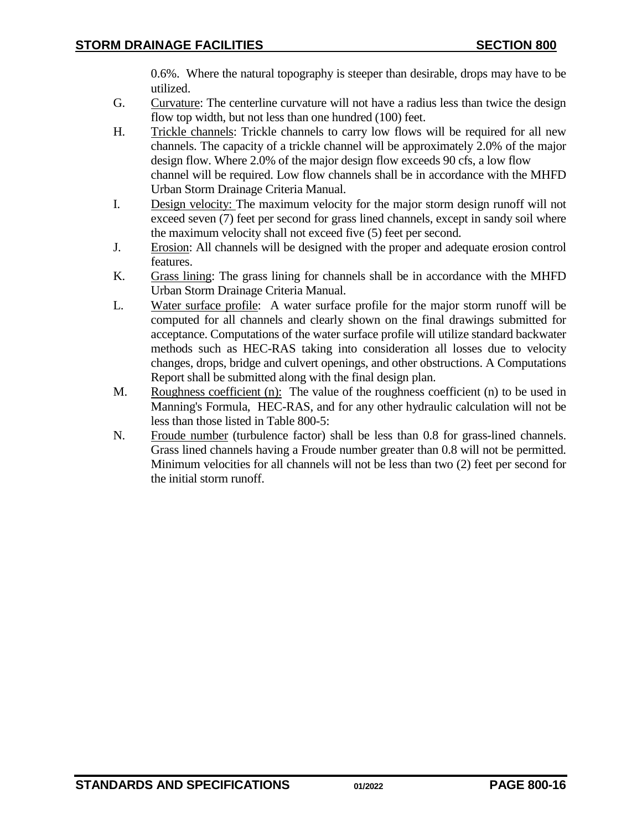0.6%. Where the natural topography is steeper than desirable, drops may have to be utilized.

- G. Curvature: The centerline curvature will not have a radius less than twice the design flow top width, but not less than one hundred (100) feet.
- H. Trickle channels: Trickle channels to carry low flows will be required for all new channels. The capacity of a trickle channel will be approximately 2.0% of the major design flow. Where 2.0% of the major design flow exceeds 90 cfs, a low flow channel will be required. Low flow channels shall be in accordance with the MHFD Urban Storm Drainage Criteria Manual.
- I. Design velocity: The maximum velocity for the major storm design runoff will not exceed seven (7) feet per second for grass lined channels, except in sandy soil where the maximum velocity shall not exceed five (5) feet per second.
- J. Erosion: All channels will be designed with the proper and adequate erosion control features.
- K. Grass lining: The grass lining for channels shall be in accordance with the MHFD Urban Storm Drainage Criteria Manual.
- L. Water surface profile: A water surface profile for the major storm runoff will be computed for all channels and clearly shown on the final drawings submitted for acceptance. Computations of the water surface profile will utilize standard backwater methods such as HEC-RAS taking into consideration all losses due to velocity changes, drops, bridge and culvert openings, and other obstructions. A Computations Report shall be submitted along with the final design plan.
- M. Roughness coefficient (n): The value of the roughness coefficient (n) to be used in Manning's Formula, HEC-RAS, and for any other hydraulic calculation will not be less than those listed in Table 800-5:
- N. Froude number (turbulence factor) shall be less than 0.8 for grass-lined channels. Grass lined channels having a Froude number greater than 0.8 will not be permitted. Minimum velocities for all channels will not be less than two (2) feet per second for the initial storm runoff.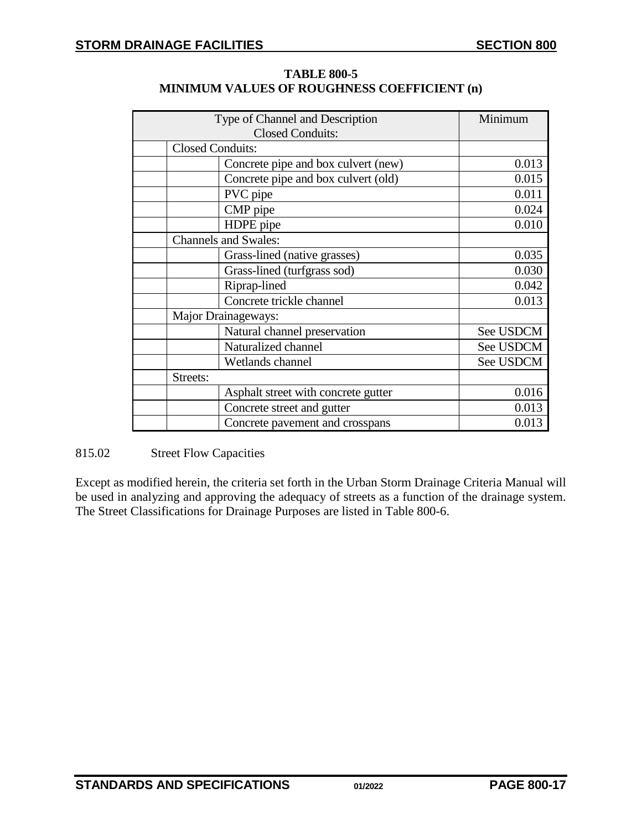| Type of Channel and Description     | Minimum   |
|-------------------------------------|-----------|
| <b>Closed Conduits:</b>             |           |
| <b>Closed Conduits:</b>             |           |
| Concrete pipe and box culvert (new) | 0.013     |
| Concrete pipe and box culvert (old) | 0.015     |
| PVC pipe                            | 0.011     |
| CMP pipe                            | 0.024     |
| HDPE pipe                           | 0.010     |
| <b>Channels and Swales:</b>         |           |
| Grass-lined (native grasses)        | 0.035     |
| Grass-lined (turfgrass sod)         | 0.030     |
| Riprap-lined                        | 0.042     |
| Concrete trickle channel            | 0.013     |
| Major Drainageways:                 |           |
| Natural channel preservation        | See USDCM |
| Naturalized channel                 | See USDCM |
| Wetlands channel                    | See USDCM |
| Streets:                            |           |
| Asphalt street with concrete gutter | 0.016     |
| Concrete street and gutter          | 0.013     |
| Concrete pavement and crosspans     | 0.013     |

| <b>TABLE 800-5</b>                                 |  |
|----------------------------------------------------|--|
| <b>MINIMUM VALUES OF ROUGHNESS COEFFICIENT (n)</b> |  |

<span id="page-16-0"></span>815.02 Street Flow Capacities

Except as modified herein, the criteria set forth in the Urban Storm Drainage Criteria Manual will be used in analyzing and approving the adequacy of streets as a function of the drainage system. The Street Classifications for Drainage Purposes are listed in Table 800-6.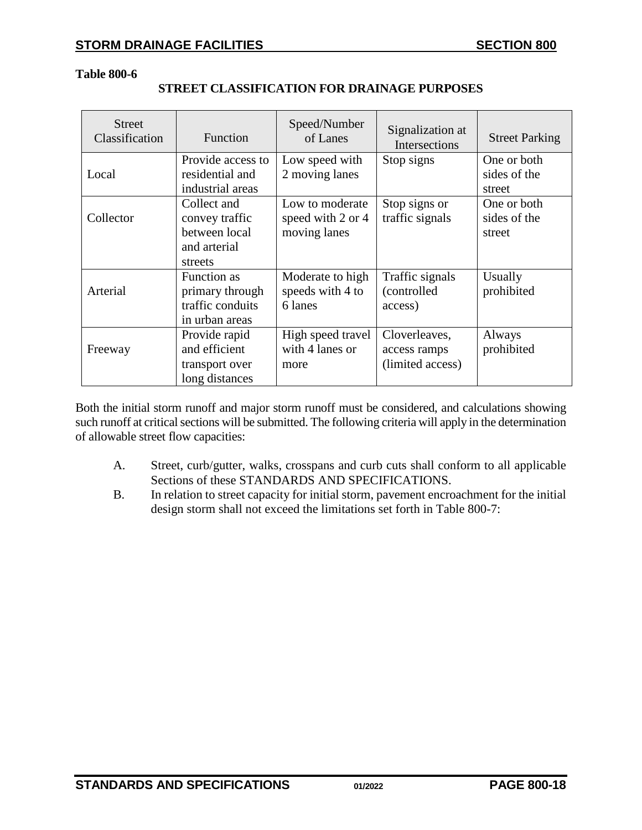#### **Table 800-6**

| <b>Street</b><br>Classification | Function                                                             | Speed/Number<br>of Lanes                        | Signalization at<br>Intersections                 | <b>Street Parking</b>       |
|---------------------------------|----------------------------------------------------------------------|-------------------------------------------------|---------------------------------------------------|-----------------------------|
| Local                           | Provide access to<br>residential and                                 | Low speed with<br>2 moving lanes                | Stop signs                                        | One or both<br>sides of the |
|                                 | industrial areas                                                     |                                                 |                                                   | street                      |
| Collector                       | Collect and<br>convey traffic                                        | Low to moderate<br>speed with 2 or 4            | Stop signs or<br>traffic signals                  | One or both<br>sides of the |
|                                 | between local<br>and arterial<br>streets                             | moving lanes                                    |                                                   | street                      |
| Arterial                        | Function as<br>primary through<br>traffic conduits<br>in urban areas | Moderate to high<br>speeds with 4 to<br>6 lanes | Traffic signals<br>(controlled<br>access)         | Usually<br>prohibited       |
| Freeway                         | Provide rapid<br>and efficient<br>transport over<br>long distances   | High speed travel<br>with 4 lanes or<br>more    | Cloverleaves,<br>access ramps<br>(limited access) | Always<br>prohibited        |

## **STREET CLASSIFICATION FOR DRAINAGE PURPOSES**

Both the initial storm runoff and major storm runoff must be considered, and calculations showing such runoff at critical sections will be submitted. The following criteria will apply in the determination of allowable street flow capacities:

- A. Street, curb/gutter, walks, crosspans and curb cuts shall conform to all applicable Sections of these STANDARDS AND SPECIFICATIONS.
- B. In relation to street capacity for initial storm, pavement encroachment for the initial design storm shall not exceed the limitations set forth in Table 800-7: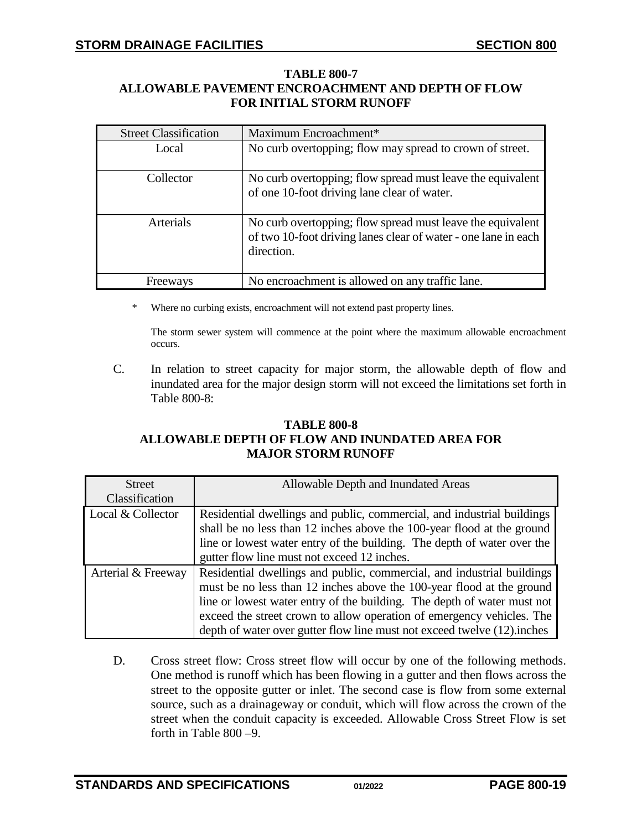### **TABLE 800-7 ALLOWABLE PAVEMENT ENCROACHMENT AND DEPTH OF FLOW FOR INITIAL STORM RUNOFF**

| <b>Street Classification</b> | Maximum Encroachment*                                                                                                                      |  |
|------------------------------|--------------------------------------------------------------------------------------------------------------------------------------------|--|
| Local                        | No curb overtopping; flow may spread to crown of street.                                                                                   |  |
| Collector                    | No curb overtopping; flow spread must leave the equivalent<br>of one 10-foot driving lane clear of water.                                  |  |
| <b>Arterials</b>             | No curb overtopping; flow spread must leave the equivalent<br>of two 10-foot driving lanes clear of water - one lane in each<br>direction. |  |
| Freeways                     | No encroachment is allowed on any traffic lane.                                                                                            |  |

\* Where no curbing exists, encroachment will not extend past property lines.

The storm sewer system will commence at the point where the maximum allowable encroachment occurs.

C. In relation to street capacity for major storm, the allowable depth of flow and inundated area for the major design storm will not exceed the limitations set forth in Table 800-8:

## **TABLE 800-8 ALLOWABLE DEPTH OF FLOW AND INUNDATED AREA FOR MAJOR STORM RUNOFF**

| <b>Street</b>      | Allowable Depth and Inundated Areas                                     |
|--------------------|-------------------------------------------------------------------------|
| Classification     |                                                                         |
| Local & Collector  | Residential dwellings and public, commercial, and industrial buildings  |
|                    | shall be no less than 12 inches above the 100-year flood at the ground  |
|                    | line or lowest water entry of the building. The depth of water over the |
|                    | gutter flow line must not exceed 12 inches.                             |
| Arterial & Freeway | Residential dwellings and public, commercial, and industrial buildings  |
|                    | must be no less than 12 inches above the 100-year flood at the ground   |
|                    | line or lowest water entry of the building. The depth of water must not |
|                    | exceed the street crown to allow operation of emergency vehicles. The   |
|                    | depth of water over gutter flow line must not exceed twelve (12) inches |

D. Cross street flow: Cross street flow will occur by one of the following methods. One method is runoff which has been flowing in a gutter and then flows across the street to the opposite gutter or inlet. The second case is flow from some external source, such as a drainageway or conduit, which will flow across the crown of the street when the conduit capacity is exceeded. Allowable Cross Street Flow is set forth in Table 800 –9.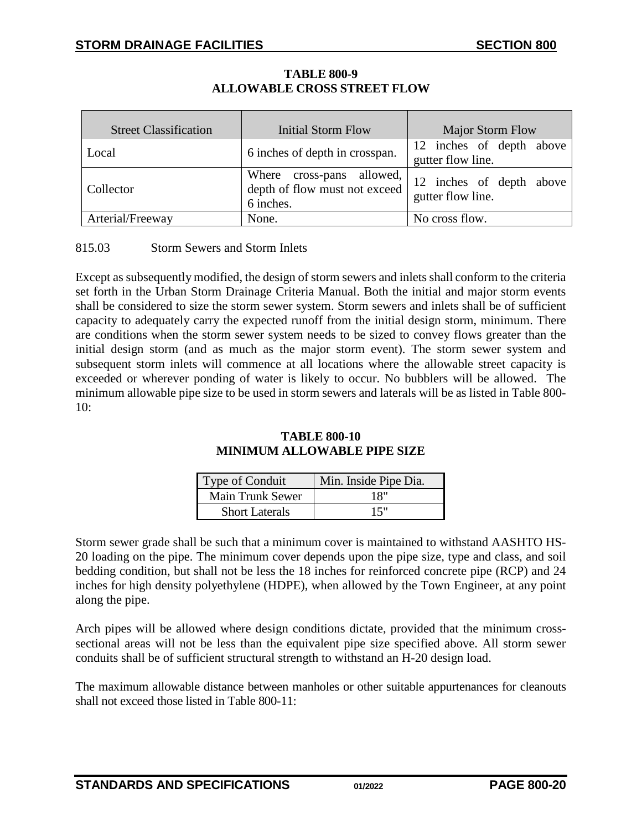| <b>Street Classification</b> | Initial Storm Flow                                                      | <b>Major Storm Flow</b>                       |  |  |
|------------------------------|-------------------------------------------------------------------------|-----------------------------------------------|--|--|
| Local                        | 6 inches of depth in crosspan.                                          | 12 inches of depth above<br>gutter flow line. |  |  |
| Collector                    | Where cross-pans allowed,<br>depth of flow must not exceed<br>6 inches. | 12 inches of depth above<br>gutter flow line. |  |  |
| Arterial/Freeway             | None.                                                                   | No cross flow.                                |  |  |

# **TABLE 800-9 ALLOWABLE CROSS STREET FLOW**

<span id="page-19-0"></span>815.03 Storm Sewers and Storm Inlets

Except as subsequently modified, the design of storm sewers and inlets shall conform to the criteria set forth in the Urban Storm Drainage Criteria Manual. Both the initial and major storm events shall be considered to size the storm sewer system. Storm sewers and inlets shall be of sufficient capacity to adequately carry the expected runoff from the initial design storm, minimum. There are conditions when the storm sewer system needs to be sized to convey flows greater than the initial design storm (and as much as the major storm event). The storm sewer system and subsequent storm inlets will commence at all locations where the allowable street capacity is exceeded or wherever ponding of water is likely to occur. No bubblers will be allowed. The minimum allowable pipe size to be used in storm sewers and laterals will be as listed in Table 800-  $10:$ 

### **TABLE 800-10 MINIMUM ALLOWABLE PIPE SIZE**

| Type of Conduit         | Min. Inside Pipe Dia. |
|-------------------------|-----------------------|
| <b>Main Trunk Sewer</b> | 18"                   |
| <b>Short Laterals</b>   | 15"                   |

Storm sewer grade shall be such that a minimum cover is maintained to withstand AASHTO HS-20 loading on the pipe. The minimum cover depends upon the pipe size, type and class, and soil bedding condition, but shall not be less the 18 inches for reinforced concrete pipe (RCP) and 24 inches for high density polyethylene (HDPE), when allowed by the Town Engineer, at any point along the pipe.

Arch pipes will be allowed where design conditions dictate, provided that the minimum crosssectional areas will not be less than the equivalent pipe size specified above. All storm sewer conduits shall be of sufficient structural strength to withstand an H-20 design load.

The maximum allowable distance between manholes or other suitable appurtenances for cleanouts shall not exceed those listed in Table 800-11: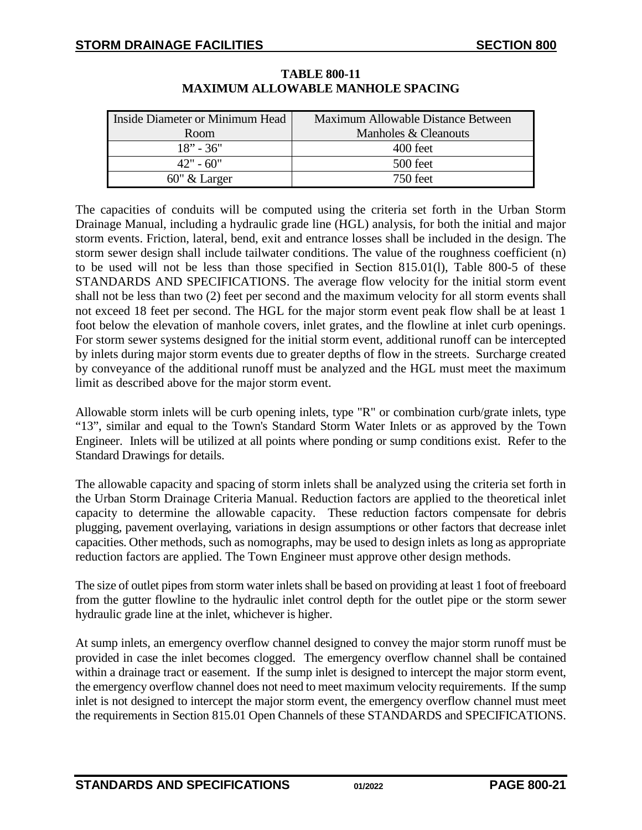| Inside Diameter or Minimum Head | Maximum Allowable Distance Between |
|---------------------------------|------------------------------------|
| Room                            | Manholes & Cleanouts               |
| $18" - 36"$                     | 400 feet                           |
| $42" - 60"$                     | 500 feet                           |
| $60''$ & Larger                 | 750 feet                           |

# **TABLE 800-11 MAXIMUM ALLOWABLE MANHOLE SPACING**

The capacities of conduits will be computed using the criteria set forth in the Urban Storm Drainage Manual, including a hydraulic grade line (HGL) analysis, for both the initial and major storm events. Friction, lateral, bend, exit and entrance losses shall be included in the design. The storm sewer design shall include tailwater conditions. The value of the roughness coefficient (n) to be used will not be less than those specified in Section 815.01(l), Table 800-5 of these STANDARDS AND SPECIFICATIONS. The average flow velocity for the initial storm event shall not be less than two (2) feet per second and the maximum velocity for all storm events shall not exceed 18 feet per second. The HGL for the major storm event peak flow shall be at least 1 foot below the elevation of manhole covers, inlet grates, and the flowline at inlet curb openings. For storm sewer systems designed for the initial storm event, additional runoff can be intercepted by inlets during major storm events due to greater depths of flow in the streets. Surcharge created by conveyance of the additional runoff must be analyzed and the HGL must meet the maximum limit as described above for the major storm event.

Allowable storm inlets will be curb opening inlets, type "R" or combination curb/grate inlets, type "13", similar and equal to the Town's Standard Storm Water Inlets or as approved by the Town Engineer. Inlets will be utilized at all points where ponding or sump conditions exist. Refer to the Standard Drawings for details.

The allowable capacity and spacing of storm inlets shall be analyzed using the criteria set forth in the Urban Storm Drainage Criteria Manual. Reduction factors are applied to the theoretical inlet capacity to determine the allowable capacity. These reduction factors compensate for debris plugging, pavement overlaying, variations in design assumptions or other factors that decrease inlet capacities. Other methods, such as nomographs, may be used to design inlets as long as appropriate reduction factors are applied. The Town Engineer must approve other design methods.

The size of outlet pipes from storm water inlets shall be based on providing at least 1 foot of freeboard from the gutter flowline to the hydraulic inlet control depth for the outlet pipe or the storm sewer hydraulic grade line at the inlet, whichever is higher.

At sump inlets, an emergency overflow channel designed to convey the major storm runoff must be provided in case the inlet becomes clogged. The emergency overflow channel shall be contained within a drainage tract or easement. If the sump inlet is designed to intercept the major storm event, the emergency overflow channel does not need to meet maximum velocity requirements. If the sump inlet is not designed to intercept the major storm event, the emergency overflow channel must meet the requirements in Section 815.01 Open Channels of these STANDARDS and SPECIFICATIONS.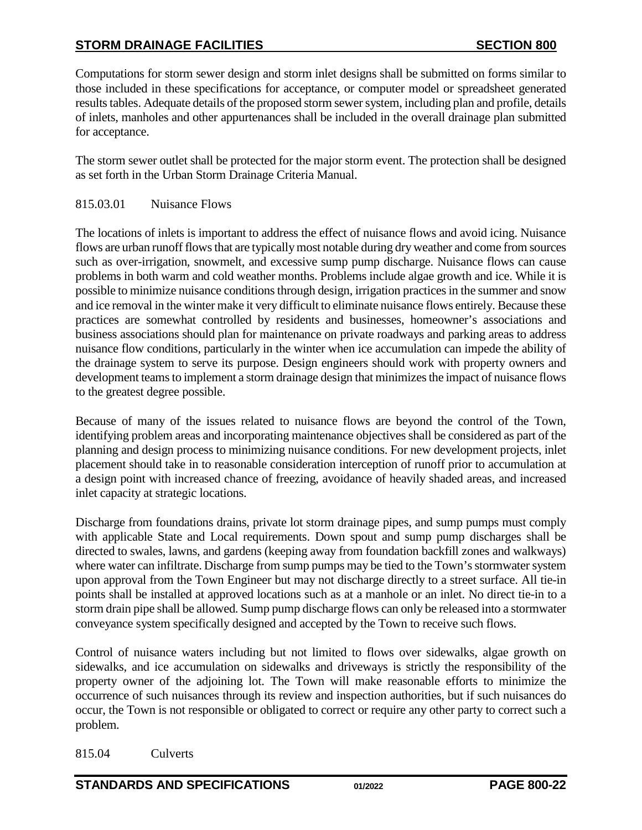Computations for storm sewer design and storm inlet designs shall be submitted on forms similar to those included in these specifications for acceptance, or computer model or spreadsheet generated results tables. Adequate details of the proposed storm sewer system, including plan and profile, details of inlets, manholes and other appurtenances shall be included in the overall drainage plan submitted for acceptance.

The storm sewer outlet shall be protected for the major storm event. The protection shall be designed as set forth in the Urban Storm Drainage Criteria Manual.

<span id="page-21-0"></span>815.03.01 Nuisance Flows

The locations of inlets is important to address the effect of nuisance flows and avoid icing. Nuisance flows are urban runoff flows that are typically most notable during dry weather and come from sources such as over-irrigation, snowmelt, and excessive sump pump discharge. Nuisance flows can cause problems in both warm and cold weather months. Problems include algae growth and ice. While it is possible to minimize nuisance conditions through design, irrigation practices in the summer and snow and ice removal in the winter make it very difficult to eliminate nuisance flows entirely. Because these practices are somewhat controlled by residents and businesses, homeowner's associations and business associations should plan for maintenance on private roadways and parking areas to address nuisance flow conditions, particularly in the winter when ice accumulation can impede the ability of the drainage system to serve its purpose. Design engineers should work with property owners and development teams to implement a storm drainage design that minimizes the impact of nuisance flows to the greatest degree possible.

Because of many of the issues related to nuisance flows are beyond the control of the Town, identifying problem areas and incorporating maintenance objectives shall be considered as part of the planning and design process to minimizing nuisance conditions. For new development projects, inlet placement should take in to reasonable consideration interception of runoff prior to accumulation at a design point with increased chance of freezing, avoidance of heavily shaded areas, and increased inlet capacity at strategic locations.

Discharge from foundations drains, private lot storm drainage pipes, and sump pumps must comply with applicable State and Local requirements. Down spout and sump pump discharges shall be directed to swales, lawns, and gardens (keeping away from foundation backfill zones and walkways) where water can infiltrate. Discharge from sump pumps may be tied to the Town's stormwater system upon approval from the Town Engineer but may not discharge directly to a street surface. All tie-in points shall be installed at approved locations such as at a manhole or an inlet. No direct tie-in to a storm drain pipe shall be allowed. Sump pump discharge flows can only be released into a stormwater conveyance system specifically designed and accepted by the Town to receive such flows.

Control of nuisance waters including but not limited to flows over sidewalks, algae growth on sidewalks, and ice accumulation on sidewalks and driveways is strictly the responsibility of the property owner of the adjoining lot. The Town will make reasonable efforts to minimize the occurrence of such nuisances through its review and inspection authorities, but if such nuisances do occur, the Town is not responsible or obligated to correct or require any other party to correct such a problem.

815.04 Culverts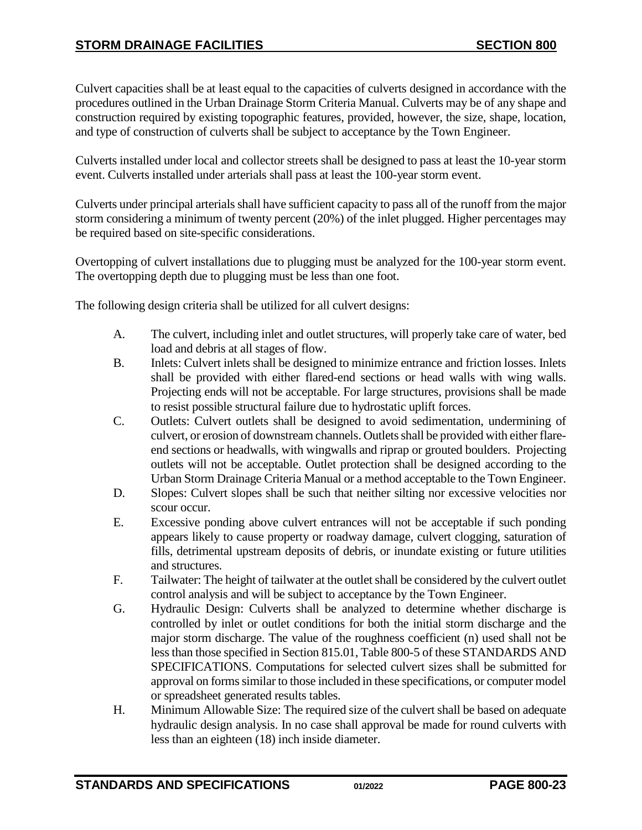Culvert capacities shall be at least equal to the capacities of culverts designed in accordance with the procedures outlined in the Urban Drainage Storm Criteria Manual. Culverts may be of any shape and construction required by existing topographic features, provided, however, the size, shape, location, and type of construction of culverts shall be subject to acceptance by the Town Engineer.

Culverts installed under local and collector streets shall be designed to pass at least the 10-year storm event. Culverts installed under arterials shall pass at least the 100-year storm event.

Culverts under principal arterials shall have sufficient capacity to pass all of the runoff from the major storm considering a minimum of twenty percent (20%) of the inlet plugged. Higher percentages may be required based on site-specific considerations.

Overtopping of culvert installations due to plugging must be analyzed for the 100-year storm event. The overtopping depth due to plugging must be less than one foot.

The following design criteria shall be utilized for all culvert designs:

- A. The culvert, including inlet and outlet structures, will properly take care of water, bed load and debris at all stages of flow.
- B. Inlets: Culvert inlets shall be designed to minimize entrance and friction losses. Inlets shall be provided with either flared-end sections or head walls with wing walls. Projecting ends will not be acceptable. For large structures, provisions shall be made to resist possible structural failure due to hydrostatic uplift forces.
- C. Outlets: Culvert outlets shall be designed to avoid sedimentation, undermining of culvert, or erosion of downstream channels. Outlets shall be provided with either flareend sections or headwalls, with wingwalls and riprap or grouted boulders. Projecting outlets will not be acceptable. Outlet protection shall be designed according to the Urban Storm Drainage Criteria Manual or a method acceptable to the Town Engineer.
- D. Slopes: Culvert slopes shall be such that neither silting nor excessive velocities nor scour occur.
- E. Excessive ponding above culvert entrances will not be acceptable if such ponding appears likely to cause property or roadway damage, culvert clogging, saturation of fills, detrimental upstream deposits of debris, or inundate existing or future utilities and structures.
- F. Tailwater: The height of tailwater at the outlet shall be considered by the culvert outlet control analysis and will be subject to acceptance by the Town Engineer.
- G. Hydraulic Design: Culverts shall be analyzed to determine whether discharge is controlled by inlet or outlet conditions for both the initial storm discharge and the major storm discharge. The value of the roughness coefficient (n) used shall not be less than those specified in Section 815.01, Table 800-5 of these STANDARDS AND SPECIFICATIONS. Computations for selected culvert sizes shall be submitted for approval on forms similar to those included in these specifications, or computer model or spreadsheet generated results tables.
- H. Minimum Allowable Size: The required size of the culvert shall be based on adequate hydraulic design analysis. In no case shall approval be made for round culverts with less than an eighteen (18) inch inside diameter.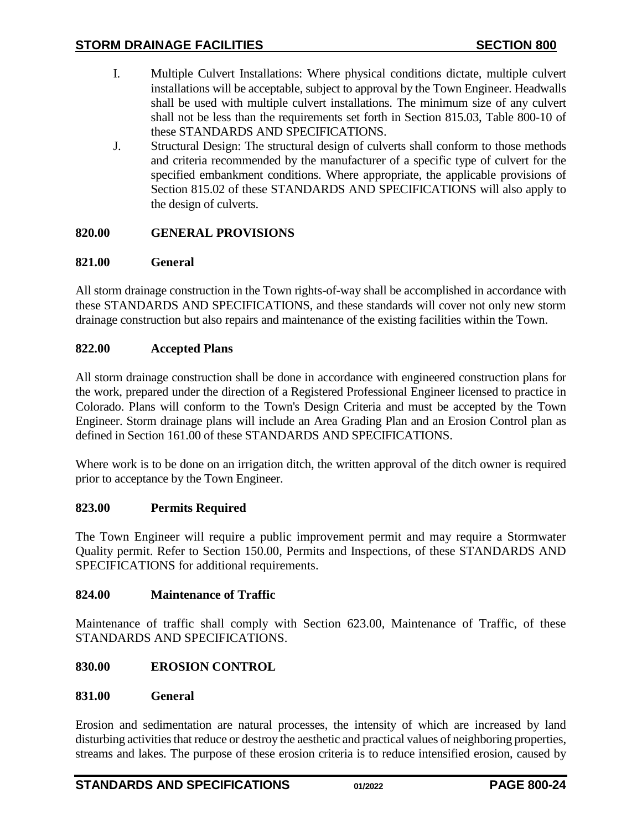- I. Multiple Culvert Installations: Where physical conditions dictate, multiple culvert installations will be acceptable, subject to approval by the Town Engineer. Headwalls shall be used with multiple culvert installations. The minimum size of any culvert shall not be less than the requirements set forth in Section 815.03, Table 800-10 of these STANDARDS AND SPECIFICATIONS.
- J. Structural Design: The structural design of culverts shall conform to those methods and criteria recommended by the manufacturer of a specific type of culvert for the specified embankment conditions. Where appropriate, the applicable provisions of Section 815.02 of these STANDARDS AND SPECIFICATIONS will also apply to the design of culverts.

# <span id="page-23-0"></span>**820.00 GENERAL PROVISIONS**

## <span id="page-23-1"></span>**821.00 General**

All storm drainage construction in the Town rights-of-way shall be accomplished in accordance with these STANDARDS AND SPECIFICATIONS, and these standards will cover not only new storm drainage construction but also repairs and maintenance of the existing facilities within the Town.

### <span id="page-23-2"></span>**822.00 Accepted Plans**

All storm drainage construction shall be done in accordance with engineered construction plans for the work, prepared under the direction of a Registered Professional Engineer licensed to practice in Colorado. Plans will conform to the Town's Design Criteria and must be accepted by the Town Engineer. Storm drainage plans will include an Area Grading Plan and an Erosion Control plan as defined in Section 161.00 of these STANDARDS AND SPECIFICATIONS.

Where work is to be done on an irrigation ditch, the written approval of the ditch owner is required prior to acceptance by the Town Engineer.

## <span id="page-23-3"></span>**823.00 Permits Required**

The Town Engineer will require a public improvement permit and may require a Stormwater Quality permit. Refer to Section 150.00, Permits and Inspections, of these STANDARDS AND SPECIFICATIONS for additional requirements.

### <span id="page-23-4"></span>**824.00 Maintenance of Traffic**

Maintenance of traffic shall comply with Section 623.00, Maintenance of Traffic, of these STANDARDS AND SPECIFICATIONS.

## <span id="page-23-5"></span>**830.00 EROSION CONTROL**

### <span id="page-23-6"></span>**831.00 General**

Erosion and sedimentation are natural processes, the intensity of which are increased by land disturbing activities that reduce or destroy the aesthetic and practical values of neighboring properties, streams and lakes. The purpose of these erosion criteria is to reduce intensified erosion, caused by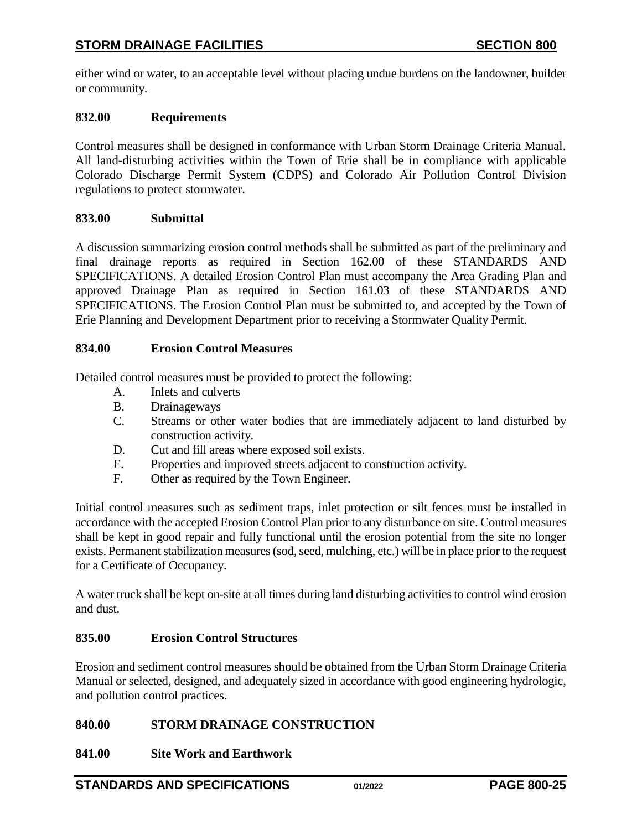either wind or water, to an acceptable level without placing undue burdens on the landowner, builder or community.

## <span id="page-24-0"></span>**832.00 Requirements**

Control measures shall be designed in conformance with Urban Storm Drainage Criteria Manual. All land-disturbing activities within the Town of Erie shall be in compliance with applicable Colorado Discharge Permit System (CDPS) and Colorado Air Pollution Control Division regulations to protect stormwater.

## <span id="page-24-1"></span>**833.00 Submittal**

A discussion summarizing erosion control methods shall be submitted as part of the preliminary and final drainage reports as required in Section 162.00 of these STANDARDS AND SPECIFICATIONS. A detailed Erosion Control Plan must accompany the Area Grading Plan and approved Drainage Plan as required in Section 161.03 of these STANDARDS AND SPECIFICATIONS. The Erosion Control Plan must be submitted to, and accepted by the Town of Erie Planning and Development Department prior to receiving a Stormwater Quality Permit.

### <span id="page-24-2"></span>**834.00 Erosion Control Measures**

Detailed control measures must be provided to protect the following:

- A. Inlets and culverts
- B. Drainageways
- C. Streams or other water bodies that are immediately adjacent to land disturbed by construction activity.
- D. Cut and fill areas where exposed soil exists.
- E. Properties and improved streets adjacent to construction activity.
- F. Other as required by the Town Engineer.

Initial control measures such as sediment traps, inlet protection or silt fences must be installed in accordance with the accepted Erosion Control Plan prior to any disturbance on site. Control measures shall be kept in good repair and fully functional until the erosion potential from the site no longer exists. Permanent stabilization measures(sod, seed, mulching, etc.) will be in place prior to the request for a Certificate of Occupancy.

A water truck shall be kept on-site at all times during land disturbing activities to control wind erosion and dust.

## <span id="page-24-3"></span>**835.00 Erosion Control Structures**

Erosion and sediment control measures should be obtained from the Urban Storm Drainage Criteria Manual or selected, designed, and adequately sized in accordance with good engineering hydrologic, and pollution control practices.

## <span id="page-24-4"></span>**840.00 STORM DRAINAGE CONSTRUCTION**

## <span id="page-24-5"></span>**841.00 Site Work and Earthwork**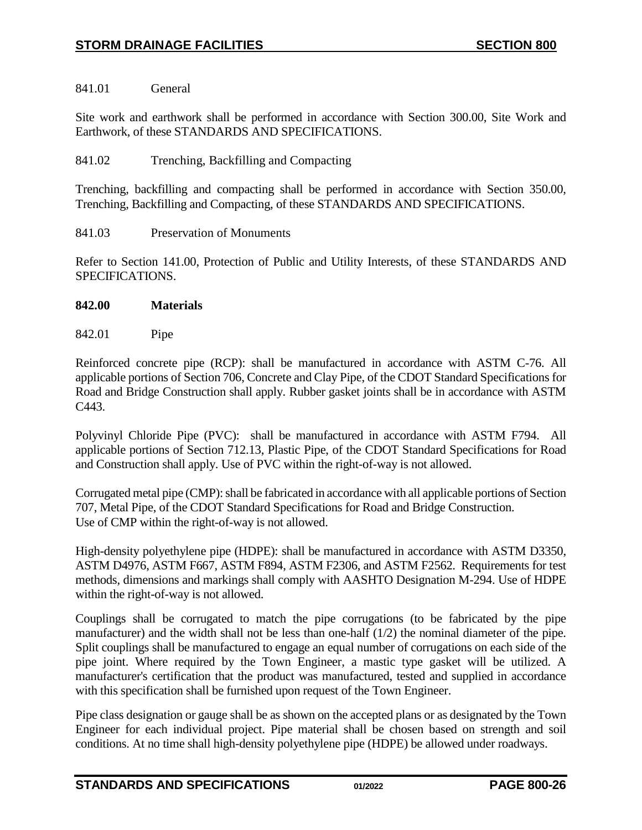<span id="page-25-0"></span>841.01 General

Site work and earthwork shall be performed in accordance with Section 300.00, Site Work and Earthwork, of these STANDARDS AND SPECIFICATIONS.

## <span id="page-25-1"></span>841.02 Trenching, Backfilling and Compacting

Trenching, backfilling and compacting shall be performed in accordance with Section 350.00, Trenching, Backfilling and Compacting, of these STANDARDS AND SPECIFICATIONS.

<span id="page-25-2"></span>841.03 Preservation of Monuments

Refer to Section 141.00, Protection of Public and Utility Interests, of these STANDARDS AND SPECIFICATIONS.

- <span id="page-25-3"></span>**842.00 Materials**
- <span id="page-25-4"></span>842.01 Pipe

Reinforced concrete pipe (RCP): shall be manufactured in accordance with ASTM C-76. All applicable portions of Section 706, Concrete and Clay Pipe, of the CDOT Standard Specifications for Road and Bridge Construction shall apply. Rubber gasket joints shall be in accordance with ASTM C443.

Polyvinyl Chloride Pipe (PVC): shall be manufactured in accordance with ASTM F794. All applicable portions of Section 712.13, Plastic Pipe, of the CDOT Standard Specifications for Road and Construction shall apply. Use of PVC within the right-of-way is not allowed.

Corrugated metal pipe (CMP): shall be fabricated in accordance with all applicable portions of Section 707, Metal Pipe, of the CDOT Standard Specifications for Road and Bridge Construction. Use of CMP within the right-of-way is not allowed.

High-density polyethylene pipe (HDPE): shall be manufactured in accordance with ASTM D3350, ASTM D4976, ASTM F667, ASTM F894, ASTM F2306, and ASTM F2562. Requirements for test methods, dimensions and markings shall comply with AASHTO Designation M-294. Use of HDPE within the right-of-way is not allowed.

Couplings shall be corrugated to match the pipe corrugations (to be fabricated by the pipe manufacturer) and the width shall not be less than one-half (1/2) the nominal diameter of the pipe. Split couplings shall be manufactured to engage an equal number of corrugations on each side of the pipe joint. Where required by the Town Engineer, a mastic type gasket will be utilized. A manufacturer's certification that the product was manufactured, tested and supplied in accordance with this specification shall be furnished upon request of the Town Engineer.

Pipe class designation or gauge shall be as shown on the accepted plans or as designated by the Town Engineer for each individual project. Pipe material shall be chosen based on strength and soil conditions. At no time shall high-density polyethylene pipe (HDPE) be allowed under roadways.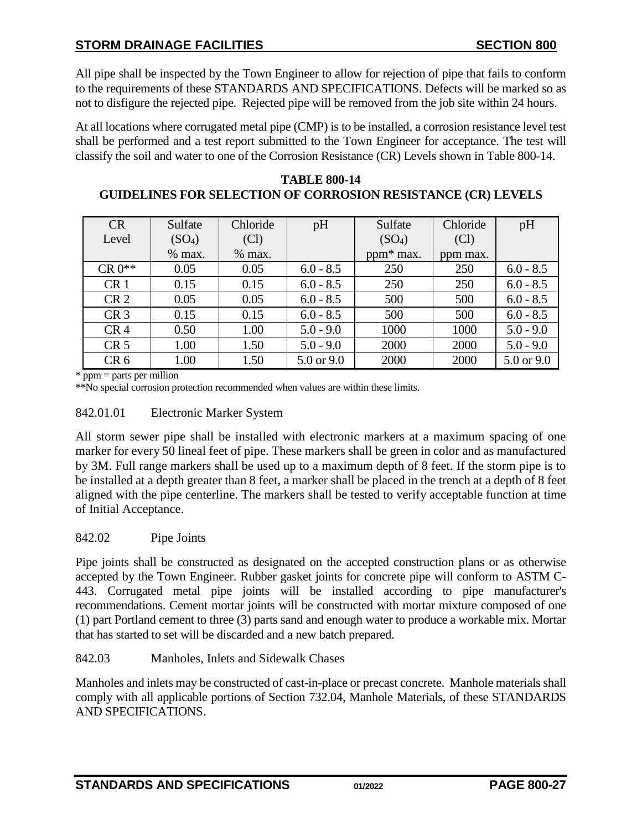All pipe shall be inspected by the Town Engineer to allow for rejection of pipe that fails to conform to the requirements of these STANDARDS AND SPECIFICATIONS. Defects will be marked so as not to disfigure the rejected pipe. Rejected pipe will be removed from the job site within 24 hours.

At all locations where corrugated metal pipe (CMP) is to be installed, a corrosion resistance level test shall be performed and a test report submitted to the Town Engineer for acceptance. The test will classify the soil and water to one of the Corrosion Resistance (CR) Levels shown in Table 800-14.

| <b>CR</b>       | Sulfate            | Chloride | pH          | Sulfate               | Chloride | pH          |
|-----------------|--------------------|----------|-------------|-----------------------|----------|-------------|
| Level           | (SO <sub>4</sub> ) | (Cl)     |             | (SO <sub>4</sub> )    | (Cl)     |             |
|                 | $%$ max.           | $%$ max. |             | ppm <sup>*</sup> max. | ppm max. |             |
| $CR 0**$        | 0.05               | 0.05     | $6.0 - 8.5$ | 250                   | 250      | $6.0 - 8.5$ |
| CR <sub>1</sub> | 0.15               | 0.15     | $6.0 - 8.5$ | 250                   | 250      | $6.0 - 8.5$ |
| CR <sub>2</sub> | 0.05               | 0.05     | $6.0 - 8.5$ | 500                   | 500      | $6.0 - 8.5$ |
| CR <sub>3</sub> | 0.15               | 0.15     | $6.0 - 8.5$ | 500                   | 500      | $6.0 - 8.5$ |
| CR <sub>4</sub> | 0.50               | 1.00     | $5.0 - 9.0$ | 1000                  | 1000     | $5.0 - 9.0$ |
| CR <sub>5</sub> | 1.00               | 1.50     | $5.0 - 9.0$ | 2000                  | 2000     | $5.0 - 9.0$ |
| CR <sub>6</sub> | 1.00               | 1.50     | 5.0 or 9.0  | 2000                  | 2000     | 5.0 or 9.0  |

**TABLE 800-14 GUIDELINES FOR SELECTION OF CORROSION RESISTANCE (CR) LEVELS**

\* ppm = parts per million

\*\*No special corrosion protection recommended when values are within these limits.

### <span id="page-26-0"></span>842.01.01 Electronic Marker System

All storm sewer pipe shall be installed with electronic markers at a maximum spacing of one marker for every 50 lineal feet of pipe. These markers shall be green in color and as manufactured by 3M. Full range markers shall be used up to a maximum depth of 8 feet. If the storm pipe is to be installed at a depth greater than 8 feet, a marker shall be placed in the trench at a depth of 8 feet aligned with the pipe centerline. The markers shall be tested to verify acceptable function at time of Initial Acceptance.

## <span id="page-26-1"></span>842.02 Pipe Joints

Pipe joints shall be constructed as designated on the accepted construction plans or as otherwise accepted by the Town Engineer. Rubber gasket joints for concrete pipe will conform to ASTM C-443. Corrugated metal pipe joints will be installed according to pipe manufacturer's recommendations. Cement mortar joints will be constructed with mortar mixture composed of one (1) part Portland cement to three (3) parts sand and enough water to produce a workable mix. Mortar that has started to set will be discarded and a new batch prepared.

### <span id="page-26-2"></span>842.03 Manholes, Inlets and Sidewalk Chases

Manholes and inlets may be constructed of cast-in-place or precast concrete. Manhole materials shall comply with all applicable portions of Section 732.04, Manhole Materials, of these STANDARDS AND SPECIFICATIONS.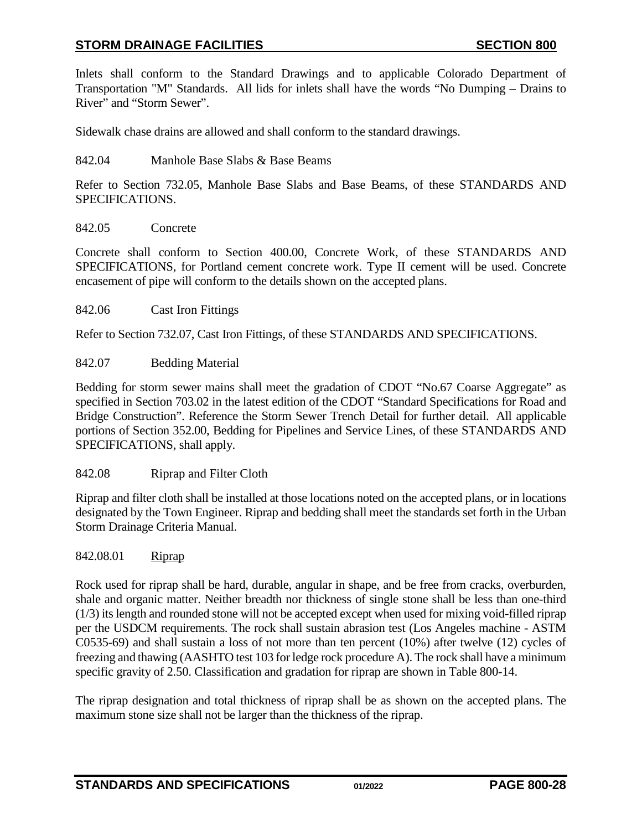Inlets shall conform to the Standard Drawings and to applicable Colorado Department of Transportation "M" Standards. All lids for inlets shall have the words "No Dumping – Drains to River" and "Storm Sewer".

Sidewalk chase drains are allowed and shall conform to the standard drawings.

### <span id="page-27-0"></span>842.04 Manhole Base Slabs & Base Beams

Refer to Section 732.05, Manhole Base Slabs and Base Beams, of these STANDARDS AND SPECIFICATIONS.

### <span id="page-27-1"></span>842.05 Concrete

Concrete shall conform to Section 400.00, Concrete Work, of these STANDARDS AND SPECIFICATIONS, for Portland cement concrete work. Type II cement will be used. Concrete encasement of pipe will conform to the details shown on the accepted plans.

#### <span id="page-27-2"></span>842.06 Cast Iron Fittings

Refer to Section 732.07, Cast Iron Fittings, of these STANDARDS AND SPECIFICATIONS.

### <span id="page-27-3"></span>842.07 Bedding Material

Bedding for storm sewer mains shall meet the gradation of CDOT "No.67 Coarse Aggregate" as specified in Section 703.02 in the latest edition of the CDOT "Standard Specifications for Road and Bridge Construction". Reference the Storm Sewer Trench Detail for further detail. All applicable portions of Section 352.00, Bedding for Pipelines and Service Lines, of these STANDARDS AND SPECIFICATIONS, shall apply.

### <span id="page-27-4"></span>842.08 Riprap and Filter Cloth

Riprap and filter cloth shall be installed at those locations noted on the accepted plans, or in locations designated by the Town Engineer. Riprap and bedding shall meet the standards set forth in the Urban Storm Drainage Criteria Manual.

### 842.08.01 Riprap

Rock used for riprap shall be hard, durable, angular in shape, and be free from cracks, overburden, shale and organic matter. Neither breadth nor thickness of single stone shall be less than one-third (1/3) its length and rounded stone will not be accepted except when used for mixing void-filled riprap per the USDCM requirements. The rock shall sustain abrasion test (Los Angeles machine - ASTM C0535-69) and shall sustain a loss of not more than ten percent (10%) after twelve (12) cycles of freezing and thawing (AASHTO test 103 for ledge rock procedure A). The rock shall have a minimum specific gravity of 2.50. Classification and gradation for riprap are shown in Table 800-14.

The riprap designation and total thickness of riprap shall be as shown on the accepted plans. The maximum stone size shall not be larger than the thickness of the riprap.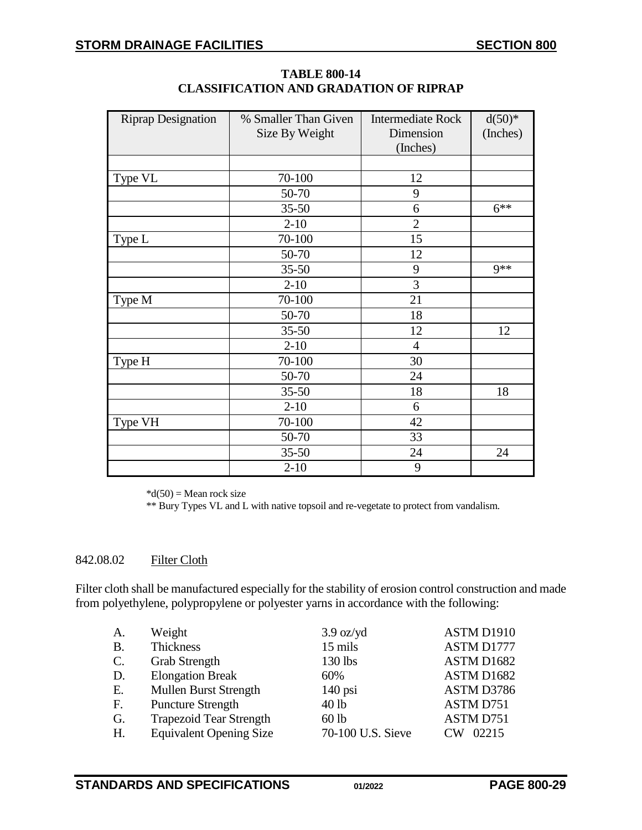| <b>Riprap Designation</b> | % Smaller Than Given | <b>Intermediate Rock</b> | $d(50)*$ |
|---------------------------|----------------------|--------------------------|----------|
|                           | Size By Weight       | Dimension                | (Inches) |
|                           |                      | (Inches)                 |          |
|                           |                      |                          |          |
| Type VL                   | 70-100               | 12                       |          |
|                           | 50-70                | 9                        |          |
|                           | $35 - 50$            | 6                        | $6***$   |
|                           | $2 - 10$             | $\overline{2}$           |          |
| Type L                    | 70-100               | 15                       |          |
|                           | 50-70                | 12                       |          |
|                           | $35 - 50$            | 9                        | $9**$    |
|                           | $2 - 10$             | 3                        |          |
| Type M                    | 70-100               | 21                       |          |
|                           | 50-70                | 18                       |          |
|                           | $35 - 50$            | 12                       | 12       |
|                           | $2 - 10$             | 4                        |          |
| Type H                    | 70-100               | 30                       |          |
|                           | 50-70                | 24                       |          |
|                           | $35 - 50$            | 18                       | 18       |
|                           | $2 - 10$             | 6                        |          |
| Type VH                   | 70-100               | 42                       |          |
|                           | 50-70                | 33                       |          |
|                           | $35 - 50$            | 24                       | 24       |
|                           | $2 - 10$             | 9                        |          |

**TABLE 800-14 CLASSIFICATION AND GRADATION OF RIPRAP**

 $*d(50) = Mean rock size$ 

\*\* Bury Types VL and L with native topsoil and re-vegetate to protect from vandalism.

### 842.08.02 Filter Cloth

Filter cloth shall be manufactured especially for the stability of erosion control construction and made from polyethylene, polypropylene or polyester yarns in accordance with the following:

| A.              | Weight                         | $3.9 \text{ oz/yd}$ | ASTM D1910           |
|-----------------|--------------------------------|---------------------|----------------------|
| <b>B.</b>       | Thickness                      | 15 mils             | ASTM D1777           |
| $\mathcal{C}$ . | <b>Grab Strength</b>           | 130 lbs             | ASTM D1682           |
| D.              | <b>Elongation Break</b>        | 60%                 | ASTM D1682           |
| Ε.              | <b>Mullen Burst Strength</b>   | $140$ psi           | ASTM D3786           |
| F.              | <b>Puncture Strength</b>       | 40 lb               | ASTM D751            |
| G.              | <b>Trapezoid Tear Strength</b> | $60$ lb             | ASTM D751            |
| H.              | <b>Equivalent Opening Size</b> | 70-100 U.S. Sieve   | 02215<br>$\sqrt{\ }$ |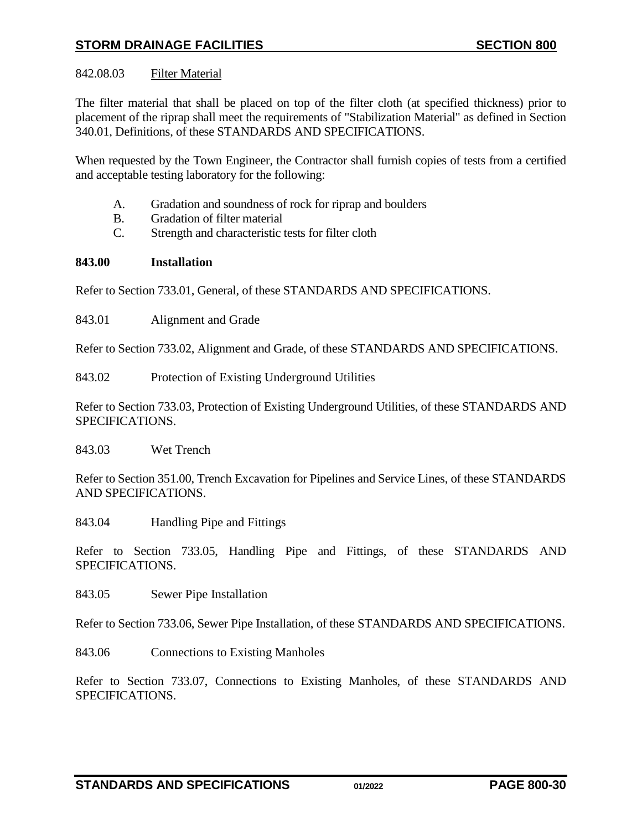# 842.08.03 Filter Material

The filter material that shall be placed on top of the filter cloth (at specified thickness) prior to placement of the riprap shall meet the requirements of "Stabilization Material" as defined in Section 340.01, Definitions, of these STANDARDS AND SPECIFICATIONS.

When requested by the Town Engineer, the Contractor shall furnish copies of tests from a certified and acceptable testing laboratory for the following:

- A. Gradation and soundness of rock for riprap and boulders
- B. Gradation of filter material
- C. Strength and characteristic tests for filter cloth

## <span id="page-29-0"></span>**843.00 Installation**

Refer to Section 733.01, General, of these STANDARDS AND SPECIFICATIONS.

<span id="page-29-1"></span>843.01 Alignment and Grade

Refer to Section 733.02, Alignment and Grade, of these STANDARDS AND SPECIFICATIONS.

<span id="page-29-2"></span>843.02 Protection of Existing Underground Utilities

Refer to Section 733.03, Protection of Existing Underground Utilities, of these STANDARDS AND SPECIFICATIONS.

<span id="page-29-3"></span>843.03 Wet Trench

Refer to Section 351.00, Trench Excavation for Pipelines and Service Lines, of these STANDARDS AND SPECIFICATIONS.

<span id="page-29-4"></span>843.04 Handling Pipe and Fittings

Refer to Section 733.05, Handling Pipe and Fittings, of these STANDARDS AND SPECIFICATIONS.

<span id="page-29-5"></span>843.05 Sewer Pipe Installation

Refer to Section 733.06, Sewer Pipe Installation, of these STANDARDS AND SPECIFICATIONS.

<span id="page-29-6"></span>843.06 Connections to Existing Manholes

Refer to Section 733.07, Connections to Existing Manholes, of these STANDARDS AND SPECIFICATIONS.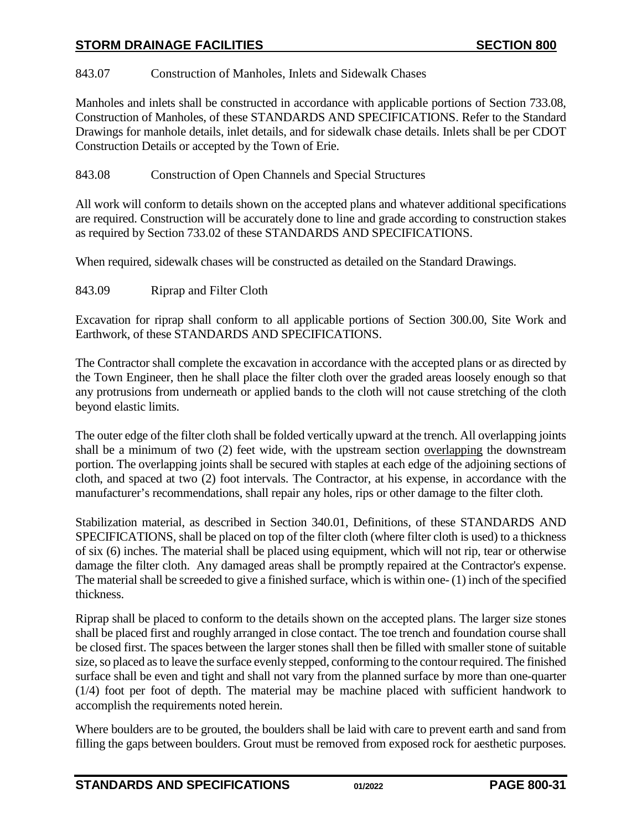## <span id="page-30-0"></span>843.07 Construction of Manholes, Inlets and Sidewalk Chases

Manholes and inlets shall be constructed in accordance with applicable portions of Section 733.08, Construction of Manholes, of these STANDARDS AND SPECIFICATIONS. Refer to the Standard Drawings for manhole details, inlet details, and for sidewalk chase details. Inlets shall be per CDOT Construction Details or accepted by the Town of Erie.

## <span id="page-30-1"></span>843.08 Construction of Open Channels and Special Structures

All work will conform to details shown on the accepted plans and whatever additional specifications are required. Construction will be accurately done to line and grade according to construction stakes as required by Section 733.02 of these STANDARDS AND SPECIFICATIONS.

When required, sidewalk chases will be constructed as detailed on the Standard Drawings.

<span id="page-30-2"></span>843.09 Riprap and Filter Cloth

Excavation for riprap shall conform to all applicable portions of Section 300.00, Site Work and Earthwork, of these STANDARDS AND SPECIFICATIONS.

The Contractor shall complete the excavation in accordance with the accepted plans or as directed by the Town Engineer, then he shall place the filter cloth over the graded areas loosely enough so that any protrusions from underneath or applied bands to the cloth will not cause stretching of the cloth beyond elastic limits.

The outer edge of the filter cloth shall be folded vertically upward at the trench. All overlapping joints shall be a minimum of two (2) feet wide, with the upstream section overlapping the downstream portion. The overlapping joints shall be secured with staples at each edge of the adjoining sections of cloth, and spaced at two (2) foot intervals. The Contractor, at his expense, in accordance with the manufacturer's recommendations, shall repair any holes, rips or other damage to the filter cloth.

Stabilization material, as described in Section 340.01, Definitions, of these STANDARDS AND SPECIFICATIONS, shall be placed on top of the filter cloth (where filter cloth is used) to a thickness of six (6) inches. The material shall be placed using equipment, which will not rip, tear or otherwise damage the filter cloth. Any damaged areas shall be promptly repaired at the Contractor's expense. The material shall be screeded to give a finished surface, which is within one- (1) inch of the specified thickness.

Riprap shall be placed to conform to the details shown on the accepted plans. The larger size stones shall be placed first and roughly arranged in close contact. The toe trench and foundation course shall be closed first. The spaces between the larger stones shall then be filled with smaller stone of suitable size, so placed as to leave the surface evenly stepped, conforming to the contour required. The finished surface shall be even and tight and shall not vary from the planned surface by more than one-quarter (1/4) foot per foot of depth. The material may be machine placed with sufficient handwork to accomplish the requirements noted herein.

Where boulders are to be grouted, the boulders shall be laid with care to prevent earth and sand from filling the gaps between boulders. Grout must be removed from exposed rock for aesthetic purposes.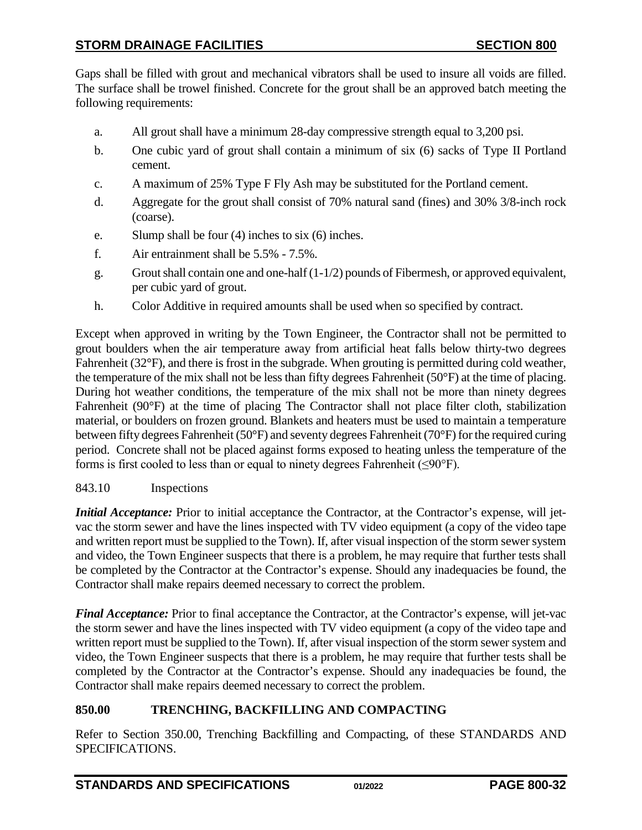Gaps shall be filled with grout and mechanical vibrators shall be used to insure all voids are filled. The surface shall be trowel finished. Concrete for the grout shall be an approved batch meeting the following requirements:

- a. All grout shall have a minimum 28-day compressive strength equal to 3,200 psi.
- b. One cubic yard of grout shall contain a minimum of six (6) sacks of Type II Portland cement.
- c. A maximum of 25% Type F Fly Ash may be substituted for the Portland cement.
- d. Aggregate for the grout shall consist of 70% natural sand (fines) and 30% 3/8-inch rock (coarse).
- e. Slump shall be four (4) inches to six (6) inches.
- f. Air entrainment shall be 5.5% 7.5%.
- g. Grout shall contain one and one-half  $(1-1/2)$  pounds of Fibermesh, or approved equivalent, per cubic yard of grout.
- h. Color Additive in required amounts shall be used when so specified by contract.

Except when approved in writing by the Town Engineer, the Contractor shall not be permitted to grout boulders when the air temperature away from artificial heat falls below thirty-two degrees Fahrenheit (32°F), and there is frost in the subgrade. When grouting is permitted during cold weather, the temperature of the mix shall not be less than fifty degrees Fahrenheit (50°F) at the time of placing. During hot weather conditions, the temperature of the mix shall not be more than ninety degrees Fahrenheit (90°F) at the time of placing The Contractor shall not place filter cloth, stabilization material, or boulders on frozen ground. Blankets and heaters must be used to maintain a temperature between fifty degrees Fahrenheit (50°F) and seventy degrees Fahrenheit (70°F) for the required curing period. Concrete shall not be placed against forms exposed to heating unless the temperature of the forms is first cooled to less than or equal to ninety degrees Fahrenheit ( $\leq 90^{\circ}$ F).

# <span id="page-31-0"></span>843.10 Inspections

*Initial Acceptance:* Prior to initial acceptance the Contractor, at the Contractor's expense, will jetvac the storm sewer and have the lines inspected with TV video equipment (a copy of the video tape and written report must be supplied to the Town). If, after visual inspection of the storm sewer system and video, the Town Engineer suspects that there is a problem, he may require that further tests shall be completed by the Contractor at the Contractor's expense. Should any inadequacies be found, the Contractor shall make repairs deemed necessary to correct the problem.

*Final Acceptance:* Prior to final acceptance the Contractor, at the Contractor's expense, will jet-vac the storm sewer and have the lines inspected with TV video equipment (a copy of the video tape and written report must be supplied to the Town). If, after visual inspection of the storm sewer system and video, the Town Engineer suspects that there is a problem, he may require that further tests shall be completed by the Contractor at the Contractor's expense. Should any inadequacies be found, the Contractor shall make repairs deemed necessary to correct the problem.

# <span id="page-31-1"></span>**850.00 TRENCHING, BACKFILLING AND COMPACTING**

Refer to Section 350.00, Trenching Backfilling and Compacting, of these STANDARDS AND SPECIFICATIONS.